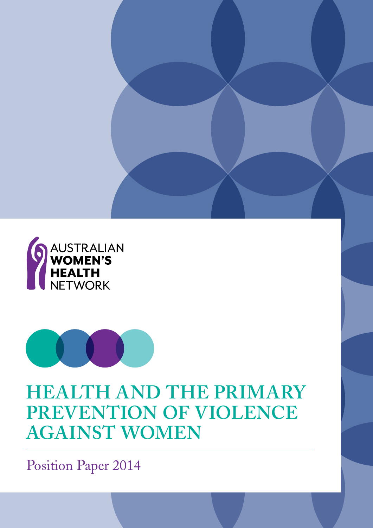



# **Health and the Primary PREVENTION OF VIOLENCE against Women**

Position Paper 2014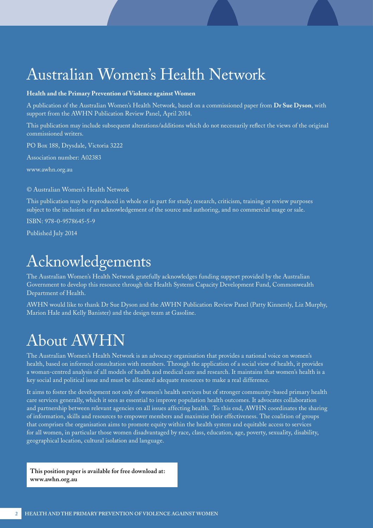# Australian Women's Health Network

#### **Health and the Primary Prevention of Violence against Women**

A publication of the Australian Women's Health Network, based on a commissioned paper from **Dr Sue Dyson**, with support from the AWHN Publication Review Panel, April 2014.

This publication may include subsequent alterations/additions which do not necessarily reflect the views of the original commissioned writers.

PO Box 188, Drysdale, Victoria 3222

Association number: A02383

[www.awhn.org.au](http://www.awhn.org.au)

© Australian Women's Health Network

This publication may be reproduced in whole or in part for study, research, criticism, training or review purposes subject to the inclusion of an acknowledgement of the source and authoring, and no commercial usage or sale.

ISBN: 978-0-9578645-5-9

Published July 2014

# Acknowledgements

The Australian Women's Health Network gratefully acknowledges funding support provided by the Australian Government to develop this resource through the Health Systems Capacity Development Fund, Commonwealth Department of Health.

AWHN would like to thank Dr Sue Dyson and the AWHN Publication Review Panel (Patty Kinnersly, Liz Murphy, Marion Hale and Kelly Banister) and the design team at Gasoline.

# About AWHN

The Australian Women's Health Network is an advocacy organisation that provides a national voice on women's health, based on informed consultation with members. Through the application of a social view of health, it provides a woman-centred analysis of all models of health and medical care and research. It maintains that women's health is a key social and political issue and must be allocated adequate resources to make a real difference.

It aims to foster the development not only of women's health services but of stronger community-based primary health care services generally, which it sees as essential to improve population health outcomes. It advocates collaboration and partnership between relevant agencies on all issues affecting health. To this end, AWHN coordinates the sharing of information, skills and resources to empower members and maximise their effectiveness. The coalition of groups that comprises the organisation aims to promote equity within the health system and equitable access to services for all women, in particular those women disadvantaged by race, class, education, age, poverty, sexuality, disability, geographical location, cultural isolation and language.

**This position paper is available for free download at: [www.awhn.org.au](http://www.awhn.org.au)**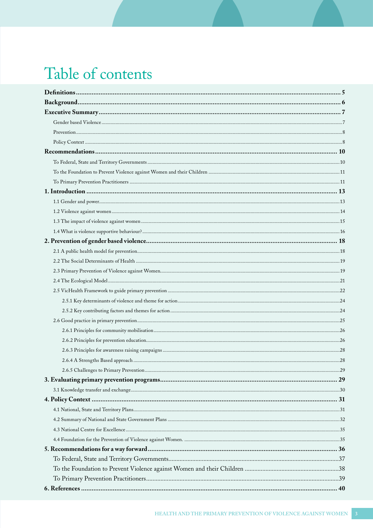# Table of contents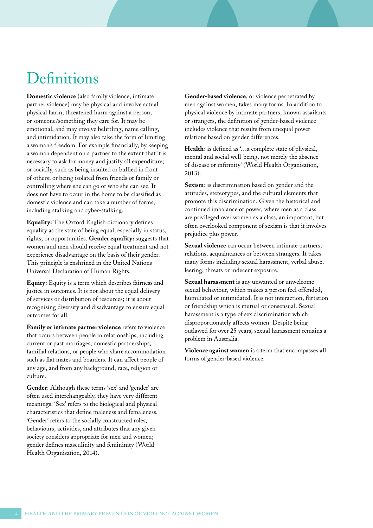# **Definitions**

**Domestic violence** (also family violence, intimate partner violence) may be physical and involve actual physical harm, threatened harm against a person, or someone/something they care for. It may be emotional, and may involve belittling, name calling, and intimidation. It may also take the form of limiting a woman's freedom. For example financially, by keeping a woman dependent on a partner to the extent that it is necessary to ask for money and justify all expenditure; or socially, such as being insulted or bullied in front of others; or being isolated from friends or family or controlling where she can go or who she can see. It does not have to occur in the home to be classified as domestic violence and can take a number of forms, including stalking and cyber-stalking.

**Equality:** The Oxford English dictionary defines equality as the state of being equal, especially in status, rights, or opportunities. **Gender equality:** suggests that women and men should receive equal treatment and not experience disadvantage on the basis of their gender. This principle is enshrined in the United Nations Universal Declaration of Human Rights.

**Equity:** Equity is a term which describes fairness and justice in outcomes. It is not about the equal delivery of services or distribution of resources; it is about recognising diversity and disadvantage to ensure equal outcomes for all.

**Family or intimate partner violence** refers to violence that occurs between people in relationships, including current or past marriages, domestic partnerships, familial relations, or people who share accommodation such as flat mates and boarders. It can affect people of any age, and from any background, race, religion or culture.

**Gender**: Although these terms 'sex' and 'gender' are often used interchangeably, they have very different meanings. 'Sex' refers to the biological and physical characteristics that define maleness and femaleness. 'Gender' refers to the socially constructed roles, behaviours, activities, and attributes that any given society considers appropriate for men and women; gender defines masculinity and femininity (World Health Organisation, 2014).

**Gender-based violence**, or violence perpetrated by men against women, takes many forms. In addition to physical violence by intimate partners, known assailants or strangers, the definition of gender-based violence includes violence that results from unequal power relations based on gender differences.

**Health:** is defined as '…a complete state of physical, mental and social well-being, not merely the absence of disease or infirmity' (World Health Organisation, 2013).

**Sexism:** is discrimination based on gender and the attitudes, stereotypes, and the cultural elements that promote this discrimination. Given the historical and continued imbalance of power, where men as a class are privileged over women as a class, an important, but often overlooked component of sexism is that it involves prejudice plus power.

**Sexual violence** can occur between intimate partners, relations, acquaintances or between strangers. It takes many forms including sexual harassment, verbal abuse, leering, threats or indecent exposure.

**Sexual harassment** is any unwanted or unwelcome sexual behaviour, which makes a person feel offended, humiliated or intimidated. It is not interaction, flirtation or friendship which is mutual or consensual. Sexual harassment is a type of sex discrimination which disproportionately affects women. Despite being outlawed for over 25 years, sexual harassment remains a problem in Australia.

**Violence against women** is a term that encompasses all forms of gender-based violence.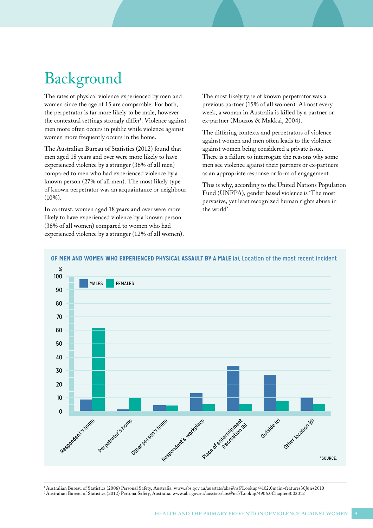# Background

The rates of physical violence experienced by men and women since the age of 15 are comparable. For both, the perpetrator is far more likely to be male, however the contextual settings strongly differ<sup>1</sup>. Violence against men more often occurs in public while violence against women more frequently occurs in the home.

The Australian Bureau of Statistics (2012) found that men aged 18 years and over were more likely to have experienced violence by a stranger (36% of all men) compared to men who had experienced violence by a known person (27% of all men). The most likely type of known perpetrator was an acquaintance or neighbour (10%).

In contrast, women aged 18 years and over were more likely to have experienced violence by a known person (36% of all women) compared to women who had experienced violence by a stranger (12% of all women). The most likely type of known perpetrator was a previous partner (15% of all women). Almost every week, a woman in Australia is killed by a partner or ex-partner (Mouzos & Makkai, 2004).

The differing contexts and perpetrators of violence against women and men often leads to the violence against women being considered a private issue. There is a failure to interrogate the reasons why some men see violence against their partners or ex-partners as an appropriate response or form of engagement.

This is why, according to the United Nations Population Fund (UNFPA), gender based violence is 'The most pervasive, yet least recognized human rights abuse in the world'



**OF MEN AND WOMEN WHO EXPERIENCED PHYSICAL ASSAULT BY A MALE** (a), Location of the most recent incident

1 Australian Bureau of Statistics (2006) Personal Safety, Australia. www.abs.gov.au/ausstats/abs@nsf/Lookup/4102.0main+features30Jun+2010 2 Australian Bureau of Statistics (2012) PersonalSafety, Australia. www.abs.gov.au/ausstats/abs@nsf/Lookup/4906.0Chapter3002012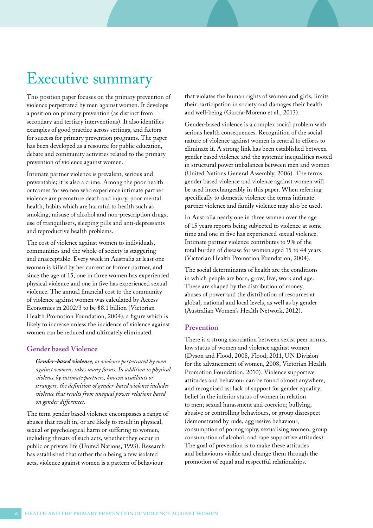## <span id="page-5-0"></span>Executive summary

This position paper focuses on the primary prevention of violence perpetrated by men against women. It develops a position on primary prevention (as distinct from secondary and tertiary interventions). It also identifies examples of good practice across settings, and factors for success for primary prevention programs. The paper has been developed as a resource for public education, debate and community activities related to the primary prevention of violence against women.

Intimate partner violence is prevalent, serious and preventable; it is also a crime. Among the poor health outcomes for women who experience intimate partner violence are premature death and injury, poor mental health, habits which are harmful to health such as smoking, misuse of alcohol and non-prescription drugs, use of tranquilisers, sleeping pills and anti-depressants and reproductive health problems.

The cost of violence against women to individuals, communities and the whole of society is staggering and unacceptable. Every week in Australia at least one woman is killed by her current or former partner, and since the age of 15, one in three women has experienced physical violence and one in five has experienced sexual violence. The annual financial cost to the community of violence against women was calculated by Access Economics in 2002/3 to be \$8.1 billion (Victorian Health Promotion Foundation, 2004), a figure which is likely to increase unless the incidence of violence against women can be reduced and ultimately eliminated.

### **Gender based Violence**

*Gender-based violence, or violence perpetrated by men against women, takes many forms. In addition to physical violence by intimate partners, known assailants or strangers, the definition of gender-based violence includes violence that results from unequal power relations based on gender differences.* 

The term gender based violence encompasses a range of abuses that result in, or are likely to result in physical, sexual or psychological harm or suffering to women, including threats of such acts, whether they occur in public or private life (United Nations, 1993). Research has established that rather than being a few isolated acts, violence against women is a pattern of behaviour

that violates the human rights of women and girls, limits their participation in society and damages their health and well-being (García-Moreno et al., 2013).

Gender-based violence is a complex social problem with serious health consequences. Recognition of the social nature of violence against women is central to efforts to eliminate it. A strong link has been established between gender based violence and the systemic inequalities rooted in structural power imbalances between men and women (United Nations General Assembly, 2006). The terms gender based violence and violence against women will be used interchangeably in this paper. When referring specifically to domestic violence the terms intimate partner violence and family violence may also be used.

In Australia nearly one in three women over the age of 15 years reports being subjected to violence at some time and one in five has experienced sexual violence. Intimate partner violence contributes to 9% of the total burden of disease for women aged 15 to 44 years (Victorian Health Promotion Foundation, 2004).

The social determinants of health are the conditions in which people are born, grow, live, work and age. These are shaped by the distribution of money, abuses of power and the distribution of resources at global, national and local levels, as well as by gender (Australian Women's Health Network, 2012).

#### **Prevention**

There is a strong association between sexist peer norms, low status of women and violence against women (Dyson and Flood, 2008, Flood, 2011, UN Division for the advancement of women, 2008, Victorian Health Promotion Foundation, 2010). Violence supportive attitudes and behaviour can be found almost anywhere, and recognised as: lack of support for gender equality; belief in the inferior status of women in relation to men; sexual harassment and coercion; bullying, abusive or controlling behaviours, or group disrespect (demonstrated by rude, aggressive behaviour, consumption of pornography, sexualising women, group consumption of alcohol, and rape supportive attitudes). The goal of prevention is to make these attitudes and behaviours visible and change them through the promotion of equal and respectful relationships.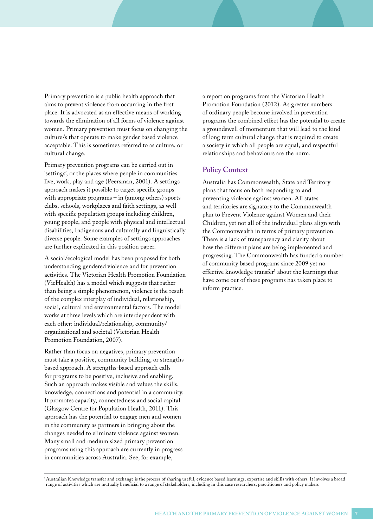Primary prevention is a public health approach that aims to prevent violence from occurring in the first place. It is advocated as an effective means of working towards the elimination of all forms of violence against women. Primary prevention must focus on changing the culture/s that operate to make gender based violence acceptable. This is sometimes referred to as culture, or cultural change.

Primary prevention programs can be carried out in 'settings', or the places where people in communities live, work, play and age (Peersman, 2001). A settings approach makes it possible to target specific groups with appropriate programs – in (among others) sports clubs, schools, workplaces and faith settings, as well with specific population groups including children, young people, and people with physical and intellectual disabilities, Indigenous and culturally and linguistically diverse people. Some examples of settings approaches are further explicated in this position paper.

A social/ecological model has been proposed for both understanding gendered violence and for prevention activities. The Victorian Health Promotion Foundation (VicHealth) has a model which suggests that rather than being a simple phenomenon, violence is the result of the complex interplay of individual, relationship, social, cultural and environmental factors. The model works at three levels which are interdependent with each other: individual/relationship, community/ organisational and societal (Victorian Health Promotion Foundation, 2007).

Rather than focus on negatives, primary prevention must take a positive, community building, or strengths based approach. A strengths-based approach calls for programs to be positive, inclusive and enabling. Such an approach makes visible and values the skills, knowledge, connections and potential in a community. It promotes capacity, connectedness and social capital (Glasgow Centre for Population Health, 2011). This approach has the potential to engage men and women in the community as partners in bringing about the changes needed to eliminate violence against women. Many small and medium sized primary prevention programs using this approach are currently in progress in communities across Australia. See, for example,

a report on programs from the Victorian Health Promotion Foundation (2012). As greater numbers of ordinary people become involved in prevention programs the combined effect has the potential to create a groundswell of momentum that will lead to the kind of long term cultural change that is required to create a society in which all people are equal, and respectful relationships and behaviours are the norm.

#### **Policy Context**

Australia has Commonwealth, State and Territory plans that focus on both responding to and preventing violence against women. All states and territories are signatory to the Commonwealth plan to Prevent Violence against Women and their Children, yet not all of the individual plans align with the Commonwealth in terms of primary prevention. There is a lack of transparency and clarity about how the different plans are being implemented and progressing. The Commonwealth has funded a number of community based programs since 2009 yet no effective knowledge transfer<sup>3</sup> about the learnings that have come out of these programs has taken place to inform practice.

<sup>3</sup> Australian Knowledge transfer and exchange is the process of sharing useful, evidence based learnings, expertise and skills with others. It involves a broad range of activities which are mutually beneficial to a range of stakeholders, including in this case researchers, practitioners and policy makers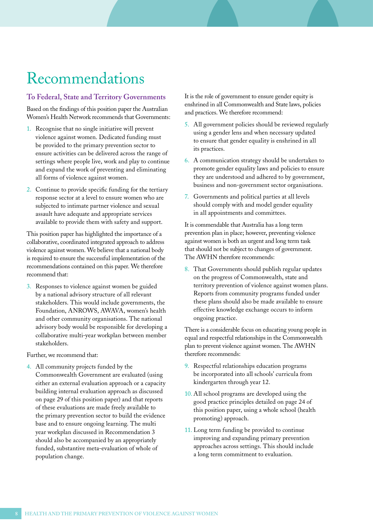# Recommendations

### **To Federal, State and Territory Governments**

Based on the findings of this position paper the Australian Women's Health Network recommends that Governments:

- 1. Recognise that no single initiative will prevent violence against women. Dedicated funding must be provided to the primary prevention sector to ensure activities can be delivered across the range of settings where people live, work and play to continue and expand the work of preventing and eliminating all forms of violence against women.
- 2. Continue to provide specific funding for the tertiary response sector at a level to ensure women who are subjected to intimate partner violence and sexual assault have adequate and appropriate services available to provide them with safety and support.

This position paper has highlighted the importance of a collaborative, coordinated integrated approach to address violence against women. We believe that a national body is required to ensure the successful implementation of the recommendations contained on this paper. We therefore recommend that:

3. Responses to violence against women be guided by a national advisory structure of all relevant stakeholders. This would include governments, the Foundation, ANROWS, AWAVA, women's health and other community organisations. The national advisory body would be responsible for developing a collaborative multi-year workplan between member stakeholders.

Further, we recommend that:

4. All community projects funded by the Commonwealth Government are evaluated (using either an external evaluation approach or a capacity building internal evaluation approach as discussed on page 29 of this position paper) and that reports of these evaluations are made freely available to the primary prevention sector to build the evidence base and to ensure ongoing learning. The multi year workplan discussed in Recommendation 3 should also be accompanied by an appropriately funded, substantive meta-evaluation of whole of population change.

It is the role of government to ensure gender equity is enshrined in all Commonwealth and State laws, policies and practices. We therefore recommend:

- 5. All government policies should be reviewed regularly using a gender lens and when necessary updated to ensure that gender equality is enshrined in all its practices.
- 6. A communication strategy should be undertaken to promote gender equality laws and policies to ensure they are understood and adhered to by government, business and non-government sector organisations.
- 7. Governments and political parties at all levels should comply with and model gender equality in all appointments and committees.

It is commendable that Australia has a long term prevention plan in place; however, preventing violence against women is both an urgent and long term task that should not be subject to changes of government. The AWHN therefore recommends:

8. That Governments should publish regular updates on the progress of Commonwealth, state and territory prevention of violence against women plans. Reports from community programs funded under these plans should also be made available to ensure effective knowledge exchange occurs to inform ongoing practice.

There is a considerable focus on educating young people in equal and respectful relationships in the Commonwealth plan to prevent violence against women. The AWHN therefore recommends:

- 9. Respectful relationships education programs be incorporated into all schools' curricula from kindergarten through year 12.
- 10. All school programs are developed using the good practice principles detailed on page 24 of this position paper, using a whole school (health promoting) approach.
- 11. Long term funding be provided to continue improving and expanding primary prevention approaches across settings. This should include a long term commitment to evaluation.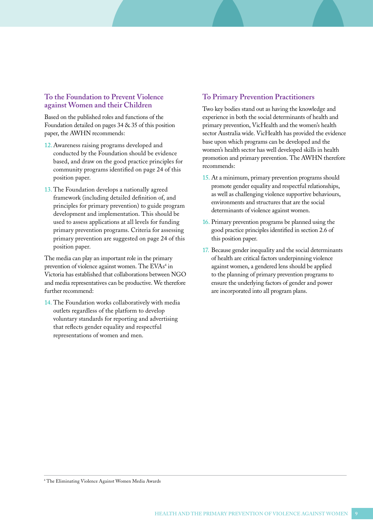### **To the Foundation to Prevent Violence against Women and their Children**

Based on the published roles and functions of the Foundation detailed on pages 34 & 35 of this position paper, the AWHN recommends:

- 12.Awareness raising programs developed and conducted by the Foundation should be evidence based, and draw on the good practice principles for community programs identified on page 24 of this position paper.
- 13. The Foundation develops a nationally agreed framework (including detailed definition of, and principles for primary prevention) to guide program development and implementation. This should be used to assess applications at all levels for funding primary prevention programs. Criteria for assessing primary prevention are suggested on page 24 of this position paper.

The media can play an important role in the primary prevention of violence against women. The EVAs<sup>4</sup> in Victoria has established that collaborations between NGO and media representatives can be productive. We therefore further recommend:

14. The Foundation works collaboratively with media outlets regardless of the platform to develop voluntary standards for reporting and advertising that reflects gender equality and respectful representations of women and men.

### **To Primary Prevention Practitioners**

Two key bodies stand out as having the knowledge and experience in both the social determinants of health and primary prevention, VicHealth and the women's health sector Australia wide. VicHealth has provided the evidence base upon which programs can be developed and the women's health sector has well developed skills in health promotion and primary prevention. The AWHN therefore recommends:

- 15. At a minimum, primary prevention programs should promote gender equality and respectful relationships, as well as challenging violence supportive behaviours, environments and structures that are the social determinants of violence against women.
- 16. Primary prevention programs be planned using the good practice principles identified in section 2.6 of this position paper.
- 17. Because gender inequality and the social determinants of health are critical factors underpinning violence against women, a gendered lens should be applied to the planning of primary prevention programs to ensure the underlying factors of gender and power are incorporated into all program plans.

4 The Eliminating Violence Against Women Media Awards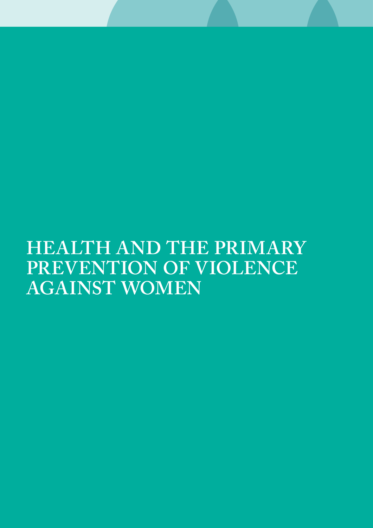# **Health and the Primary Prevention of Violence against Women**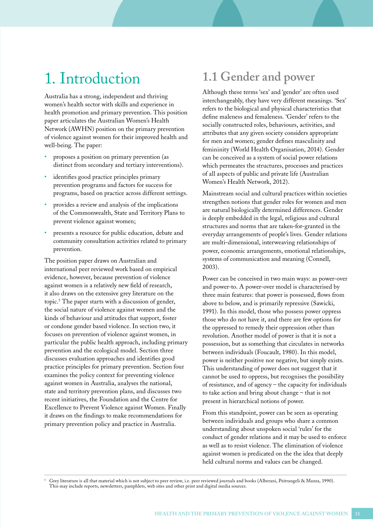# 1. Introduction

Australia has a strong, independent and thriving women's health sector with skills and experience in health promotion and primary prevention. This position paper articulates the Australian Women's Health Network (AWHN) position on the primary prevention of violence against women for their improved health and well-being. The paper:

- proposes a position on primary prevention (as distinct from secondary and tertiary interventions).
- identifies good practice principles primary prevention programs and factors for success for programs, based on practice across different settings.
- provides a review and analysis of the implications of the Commonwealth, State and Territory Plans to prevent violence against women;
- presents a resource for public education, debate and community consultation activities related to primary prevention.

The position paper draws on Australian and international peer reviewed work based on empirical evidence, however, because prevention of violence against women is a relatively new field of research, it also draws on the extensive grey literature on the topic.5 The paper starts with a discussion of gender, the social nature of violence against women and the kinds of behaviour and attitudes that support, foster or condone gender based violence. In section two, it focuses on prevention of violence against women, in particular the public health approach, including primary prevention and the ecological model. Section three discusses evaluation approaches and identifies good practice principles for primary prevention. Section four examines the policy context for preventing violence against women in Australia, analyses the national, state and territory prevention plans, and discusses two recent initiatives, the Foundation and the Centre for Excellence to Prevent Violence against Women. Finally it draws on the findings to make recommendations for primary prevention policy and practice in Australia.

## **1.1 Gender and power**

Although these terms 'sex' and 'gender' are often used interchangeably, they have very different meanings. 'Sex' refers to the biological and physical characteristics that define maleness and femaleness. 'Gender' refers to the socially constructed roles, behaviours, activities, and attributes that any given society considers appropriate for men and women; gender defines masculinity and femininity (World Health Organisation, 2014). Gender can be conceived as a system of social power relations which permeates the structures, processes and practices of all aspects of public and private life (Australian Women's Health Network, 2012).

Mainstream social and cultural practices within societies strengthen notions that gender roles for women and men are natural biologically determined differences. Gender is deeply embedded in the legal, religious and cultural structures and norms that are taken-for-granted in the everyday arrangements of people's lives. Gender relations are multi-dimensional, interweaving relationships of power, economic arrangements, emotional relationships, systems of communication and meaning (Connell, 2003).

Power can be conceived in two main ways: as power-over and power-to. A power-over model is characterised by three main features: that power is possessed, flows from above to below, and is primarily repressive (Sawicki, 1991). In this model, those who possess power oppress those who do not have it, and there are few options for the oppressed to remedy their oppression other than revolution. Another model of power is that it is not a possession, but as something that circulates in networks between individuals (Foucault, 1980). In this model, power is neither positive nor negative, but simply exists. This understanding of power does not suggest that it cannot be used to oppress, but recognises the possibility of resistance, and of agency – the capacity for individuals to take action and bring about change – that is not present in hierarchical notions of power.

From this standpoint, power can be seen as operating between individuals and groups who share a common understanding about unspoken social 'rules' for the conduct of gender relations and it may be used to enforce as well as to resist violence. The elimination of violence against women is predicated on the the idea that deeply held cultural norms and values can be changed.

5 Grey literature is all that material which is not subject to peer review, i.e. peer reviewed journals and books (Alberani, Peitrangeli & Mazza, 1990). This may include reports, newsletters, pamphlets, web sites and other print and digital media sources.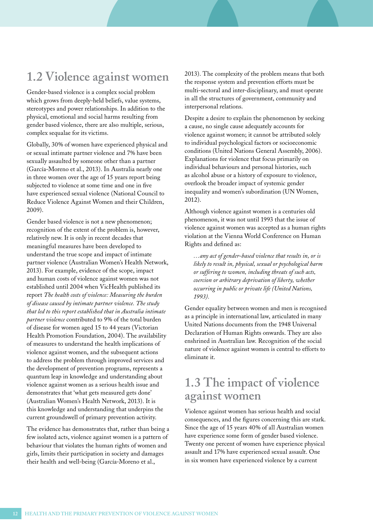## **1.2 Violence against women**

Gender-based violence is a complex social problem which grows from deeply-held beliefs, value systems, stereotypes and power relationships. In addition to the physical, emotional and social harms resulting from gender based violence, there are also multiple, serious, complex sequalae for its victims.

Globally, 30% of women have experienced physical and or sexual intimate partner violence and 7% have been sexually assaulted by someone other than a partner (García-Moreno et al., 2013). In Australia nearly one in three women over the age of 15 years report being subjected to violence at some time and one in five have experienced sexual violence (National Council to Reduce Violence Against Women and their Children, 2009).

Gender based violence is not a new phenomenon; recognition of the extent of the problem is, however, relatively new. It is only in recent decades that meaningful measures have been developed to understand the true scope and impact of intimate partner violence (Australian Women's Health Network, 2013). For example, evidence of the scope, impact and human costs of violence against women was not established until 2004 when VicHealth published its report *The health costs of violence: Measuring the burden of disease caused by intimate partner violence. The study that led to this report established that in Australia intimate partner violence* contributed to 9% of the total burden of disease for women aged 15 to 44 years (Victorian Health Promotion Foundation, 2004). The availability of measures to understand the health implications of violence against women, and the subsequent actions to address the problem through improved services and the development of prevention programs, represents a quantum leap in knowledge and understanding about violence against women as a serious health issue and demonstrates that 'what gets measured gets done' (Australian Women's Health Network, 2013). It is this knowledge and understanding that underpins the current groundswell of primary prevention activity.

The evidence has demonstrates that, rather than being a few isolated acts, violence against women is a pattern of behaviour that violates the human rights of women and girls, limits their participation in society and damages their health and well-being (García-Moreno et al.,

2013). The complexity of the problem means that both the response system and prevention efforts must be multi-sectoral and inter-disciplinary, and must operate in all the structures of government, community and interpersonal relations.

Despite a desire to explain the phenomenon by seeking a cause, no single cause adequately accounts for violence against women; it cannot be attributed solely to individual psychological factors or socioeconomic conditions (United Nations General Assembly, 2006). Explanations for violence that focus primarily on individual behaviours and personal histories, such as alcohol abuse or a history of exposure to violence, overlook the broader impact of systemic gender inequality and women's subordination (UN Women, 2012).

Although violence against women is a centuries old phenomenon, it was not until 1993 that the issue of violence against women was accepted as a human rights violation at the Vienna World Conference on Human Rights and defined as:

*…any act of gender-based violence that results in, or is likely to result in, physical, sexual or psychological harm or suffering to women, including threats of such acts, coercion or arbitrary deprivation of liberty, whether occurring in public or private life (United Nations, 1993).*

Gender equality between women and men is recognised as a principle in international law, articulated in many United Nations documents from the 1948 Universal Declaration of Human Rights onwards. They are also enshrined in Australian law. Recognition of the social nature of violence against women is central to efforts to eliminate it.

### **1.3 The impact of violence against women**

Violence against women has serious health and social consequences, and the figures concerning this are stark. Since the age of 15 years 40% of all Australian women have experience some form of gender based violence. Twenty one percent of women have experience physical assault and 17% have experienced sexual assault. One in six women have experienced violence by a current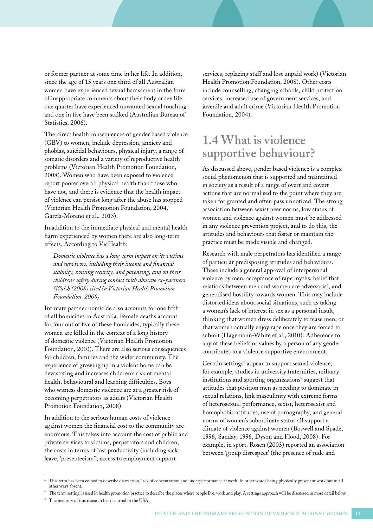or former partner at some time in her life. In addition, since the age of 15 years one third of all Australian women have experienced sexual harassment in the form of inappropriate comments about their body or sex life, one quarter have experienced unwanted sexual touching and one in five have been stalked (Australian Bureau of Statistics, 2006).

The direct health consequences of gender based violence (GBV) to women, include depression, anxiety and phobias, suicidal behaviours, physical injury, a range of somatic disorders and a variety of reproductive health problems (Victorian Health Promotion Foundation, 2008). Women who have been exposed to violence report poorer overall physical health than those who have not, and there is evidence that the health impact of violence can persist long after the abuse has stopped (Victorian Health Promotion Foundation, 2004, García-Moreno et al., 2013).

In addition to the immediate physical and mental health harm experienced by women there are also long-term effects. According to VicHealth:

*Domestic violence has a long-term impact on its victims and survivors, including their income and financial stability, housing security, and parenting, and on their children's safety during contact with abusive ex-partners (Walsh (2008) cited in Victorian Health Promotion Foundation, 2008)*

Intimate partner homicide also accounts for one fifth of all homicides in Australia. Female deaths account for four out of five of these homicides, typically these women are killed in the context of a long history of domestic violence (Victorian Health Promotion Foundation, 2010). There are also serious consequences for children, families and the wider community. The experience of growing up in a violent home can be devastating and increases children's risk of mental health, behavioural and learning difficulties. Boys who witness domestic violence are at a greater risk of becoming perpetrators as adults (Victorian Health Promotion Foundation, 2008).

In addition to the serious human costs of violence against women the financial cost to the community are enormous. This takes into account the cost of public and private services to victims, perpetrators and children, the costs in terms of lost productivity (including sick leave, 'presenteeism'6 , access to employment support

services, replacing staff and lost unpaid work) (Victorian Health Promotion Foundation, 2008). Other costs include counselling, changing schools, child protection services, increased use of government services, and juvenile and adult crime (Victorian Health Promotion Foundation, 2004).

## **1.4 What is violence supportive behaviour?**

As discussed above, gender based violence is a complex social phenomenon that is supported and maintained in society as a result of a range of overt and covert actions that are normalised to the point where they are taken for granted and often pass unnoticed. The strong association between sexist peer norms, low status of women and violence against women must be addressed in any violence prevention project, and to do this, the attitudes and behaviours that foster or maintain the practice must be made visible and changed.

Research with male perpetrators has identified a range of particular predisposing attitudes and behaviours. These include a general approval of interpersonal violence by men, acceptance of rape myths, belief that relations between men and women are adversarial, and generalised hostility towards women. This may include distorted ideas about social situations, such as taking a woman's lack of interest in sex as a personal insult, thinking that women dress deliberately to tease men, or that women actually enjoy rape once they are forced to submit (Hagemann-White et al., 2010). Adherence to any of these beliefs or values by a person of any gender contributes to a violence supportive environment.

Certain settings<sup>7</sup> appear to support sexual violence, for example, studies in university fraternities, military institutions and sporting organisations<sup>8</sup> suggest that attitudes that position men as needing to dominate in sexual relations, link masculinity with extreme forms of heterosexual performance, sexist, heterosexist and homophobic attitudes, use of pornography, and general norms of women's subordinate status all support a climate of violence against women (Boswell and Spade, 1996, Sanday, 1996, Dyson and Flood, 2008). For example, in sport, Rosen (2003) reported an association between 'group disrespect' (the presence of rude and

<sup>6</sup> This term has been coined to describe distraction, lack of concentration and underperformance at work. In other words being physically present at work but in all other ways absent.

 $^7$  The term 'setting' is used in health promotion practice to describe the places where people live, work and play. A settings approach will be discussed in more detail below.

<sup>8</sup> The majority of this research has occurred in the USA.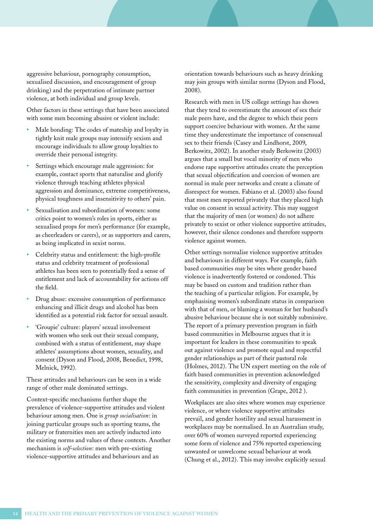aggressive behaviour, pornography consumption, sexualised discussion, and encouragement of group drinking) and the perpetration of intimate partner violence, at both individual and group levels.

Other factors in these settings that have been associated with some men becoming abusive or violent include:

- Male bonding: The codes of mateship and loyalty in tightly knit male groups may intensify sexism and encourage individuals to allow group loyalties to override their personal integrity.
- Settings which encourage male aggression: for example, contact sports that naturalise and glorify violence through teaching athletes physical aggression and dominance, extreme competitiveness, physical toughness and insensitivity to others' pain.
- Sexualisation and subordination of women: some critics point to women's roles in sports, either as sexualised props for men's performance (for example, as cheerleaders or carers), or as supporters and carers, as being implicated in sexist norms.
- Celebrity status and entitlement: the high-profile status and celebrity treatment of professional athletes has been seen to potentially feed a sense of entitlement and lack of accountability for actions off the field.
- Drug abuse: excessive consumption of performance enhancing and illicit drugs and alcohol has been identified as a potential risk factor for sexual assault.
- 'Groupie' culture: players' sexual involvement with women who seek out their sexual company, combined with a status of entitlement, may shape athletes' assumptions about women, sexuality, and consent (Dyson and Flood, 2008, Benedict, 1998, Melnick, 1992).

These attitudes and behaviours can be seen in a wide range of other male dominated settings.

Context-specific mechanisms further shape the prevalence of violence-supportive attitudes and violent behaviour among men. One is *group socialisation*: in joining particular groups such as sporting teams, the military or fraternities men are actively inducted into the existing norms and values of these contexts. Another mechanism is *self-selection*: men with pre-existing violence-supportive attitudes and behaviours and an

orientation towards behaviours such as heavy drinking may join groups with similar norms (Dyson and Flood, 2008).

Research with men in US college settings has shown that they tend to overestimate the amount of sex their male peers have, and the degree to which their peers support coercive behaviour with women. At the same time they underestimate the importance of consensual sex to their friends (Casey and Lindhorst, 2009, Berkowitz, 2002). In another study Berkowitz (2003) argues that a small but vocal minority of men who endorse rape supportive attitudes create the perception that sexual objectification and coercion of women are normal in male peer networks and create a climate of disrespect for women. Fabiano et al. (2003) also found that most men reported privately that they placed high value on consent in sexual activity. This may suggest that the majority of men (or women) do not adhere privately to sexist or other violence supportive attitudes, however, their silence condones and therefore supports violence against women.

Other settings normalise violence supportive attitudes and behaviours in different ways. For example, faith based communities may be sites where gender based violence is inadvertently fostered or condoned. This may be based on custom and tradition rather than the teaching of a particular religion. For example, by emphasising women's subordinate status in comparison with that of men, or blaming a woman for her husband's abusive behaviour because she is not suitably submissive. The report of a primary prevention program in faith based communities in Melbourne argues that it is important for leaders in these communities to speak out against violence and promote equal and respectful gender relationships as part of their pastoral role (Holmes, 2012). The UN expert meeting on the role of faith based communities in prevention acknowledged the sensitivity, complexity and diversity of engaging faith communities in prevention (Grape, 2012 ).

Workplaces are also sites where women may experience violence, or where violence supportive attitudes prevail, and gender hostility and sexual harassment in workplaces may be normalised. In an Australian study, over 60% of women surveyed reported experiencing some form of violence and 75% reported experiencing unwanted or unwelcome sexual behaviour at work (Chung et al., 2012). This may involve explicitly sexual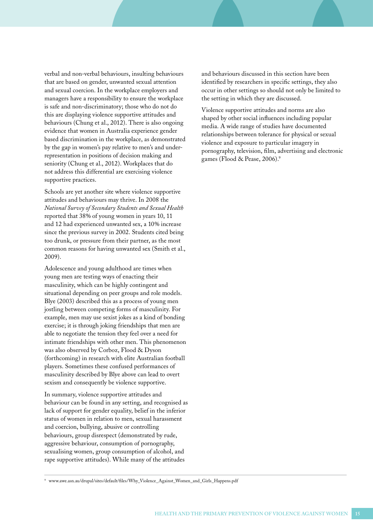verbal and non-verbal behaviours, insulting behaviours that are based on gender, unwanted sexual attention and sexual coercion. In the workplace employers and managers have a responsibility to ensure the workplace is safe and non-discriminatory; those who do not do this are displaying violence supportive attitudes and behaviours (Chung et al., 2012). There is also ongoing evidence that women in Australia experience gender based discrimination in the workplace, as demonstrated by the gap in women's pay relative to men's and underrepresentation in positions of decision making and seniority (Chung et al., 2012). Workplaces that do not address this differential are exercising violence supportive practices.

Schools are yet another site where violence supportive attitudes and behaviours may thrive. In 2008 the *National Survey of Secondary Students and Sexual Health* reported that 38% of young women in years 10, 11 and 12 had experienced unwanted sex, a 10% increase since the previous survey in 2002. Students cited being too drunk, or pressure from their partner, as the most common reasons for having unwanted sex (Smith et al., 2009).

Adolescence and young adulthood are times when young men are testing ways of enacting their masculinity, which can be highly contingent and situational depending on peer groups and role models. Blye (2003) described this as a process of young men jostling between competing forms of masculinity. For example, men may use sexist jokes as a kind of bonding exercise; it is through joking friendships that men are able to negotiate the tension they feel over a need for intimate friendships with other men. This phenomenon was also observed by Corboz, Flood & Dyson (forthcoming) in research with elite Australian football players. Sometimes these confused performances of masculinity described by Blye above can lead to overt sexism and consequently be violence supportive.

In summary, violence supportive attitudes and behaviour can be found in any setting, and recognised as lack of support for gender equality, belief in the inferior status of women in relation to men, sexual harassment and coercion, bullying, abusive or controlling behaviours, group disrespect (demonstrated by rude, aggressive behaviour, consumption of pornography, sexualising women, group consumption of alcohol, and rape supportive attitudes). While many of the attitudes

and behaviours discussed in this section have been identified by researchers in specific settings, they also occur in other settings so should not only be limited to the setting in which they are discussed.

Violence supportive attitudes and norms are also shaped by other social influences including popular media. A wide range of studies have documented relationships between tolerance for physical or sexual violence and exposure to particular imagery in pornography, television, film, advertising and electronic games (Flood & Pease, 2006).9

9 www.awe.asn.au/drupal/sites/default/files/Why\_Violence\_Against\_Women\_and\_Girls\_Happens.pdf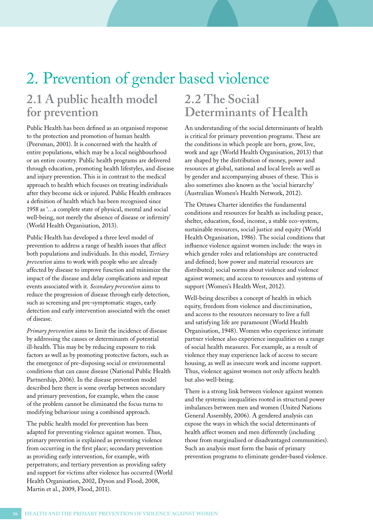# 2. Prevention of gender based violence

## **2.1 A public health model for prevention**

Public Health has been defined as an organised response to the protection and promotion of human health (Peersman, 2001). It is concerned with the health of entire populations, which may be a local neighbourhood or an entire country. Public health programs are delivered through education, promoting health lifestyles, and disease and injury prevention. This is in contrast to the medical approach to health which focuses on treating individuals after they become sick or injured. Public Health embraces a definition of health which has been recognised since 1958 as '…a complete state of physical, mental and social well-being, not merely the absence of disease or infirmity' (World Health Organisation, 2013).

Public Health has developed a three level model of prevention to address a range of health issues that affect both populations and individuals. In this model, *Tertiary prevention* aims to work with people who are already affected by disease to improve function and minimize the impact of the disease and delay complications and repeat events associated with it. *Secondary prevention* aims to reduce the progression of disease through early detection, such as screening and pre-symptomatic stages, early detection and early intervention associated with the onset of disease.

*Primary prevention* aims to limit the incidence of disease by addressing the causes or determinants of potential ill-health. This may be by reducing exposure to risk factors as well as by promoting protective factors, such as the emergence of pre-disposing social or environmental conditions that can cause disease (National Public Health Partnership, 2006). In the disease prevention model described here there is some overlap between secondary and primary prevention, for example, when the cause of the problem cannot be eliminated the focus turns to modifying behaviour using a combined approach.

The public health model for prevention has been adapted for preventing violence against women. Thus, primary prevention is explained as preventing violence from occurring in the first place; secondary prevention as providing early intervention, for example, with perpetrators; and tertiary prevention as providing safety and support for victims after violence has occurred (World Health Organisation, 2002, Dyson and Flood, 2008, Martin et al., 2009, Flood, 2011).

## **2.2 The Social Determinants of Health**

An understanding of the social determinants of health is critical for primary prevention programs. These are the conditions in which people are born, grow, live, work and age (World Health Organisation, 2013) that are shaped by the distribution of money, power and resources at global, national and local levels as well as by gender and accompanying abuses of these. This is also sometimes also known as the 'social hierarchy' (Australian Women's Health Network, 2012).

The Ottawa Charter identifies the fundamental conditions and resources for health as including peace, shelter, education, food, income, a stable eco-system, sustainable resources, social justice and equity (World Health Organisation, 1986). The social conditions that influence violence against women include: the ways in which gender roles and relationships are constructed and defined; how power and material resources are distributed; social norms about violence and violence against women; and access to resources and systems of support (Women's Health West, 2012).

Well-being describes a concept of health in which equity, freedom from violence and discrimination, and access to the resources necessary to live a full and satisfying life are paramount (World Health Organisation, 1948). Women who experience intimate partner violence also experience inequalities on a range of social health measures. For example, as a result of violence they may experience lack of access to secure housing, as well as insecure work and income support. Thus, violence against women not only affects health but also well-being.

There is a strong link between violence against women and the systemic inequalities rooted in structural power imbalances between men and women (United Nations General Assembly, 2006). A gendered analysis can expose the ways in which the social determinants of health affect women and men differently (including those from marginalised or disadvantaged communities). Such an analysis must form the basis of primary prevention programs to eliminate gender-based violence.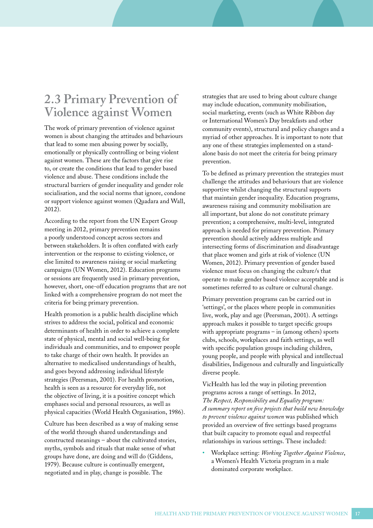## **2.3 Primary Prevention of Violence against Women**

The work of primary prevention of violence against women is about changing the attitudes and behaviours that lead to some men abusing power by socially, emotionally or physically controlling or being violent against women. These are the factors that give rise to, or create the conditions that lead to gender based violence and abuse. These conditions include the structural barriers of gender inequality and gender role socialisation, and the social norms that ignore, condone or support violence against women (Quadara and Wall, 2012).

According to the report from the UN Expert Group meeting in 2012, primary prevention remains a poorly understood concept across sectors and between stakeholders. It is often conflated with early intervention or the response to existing violence, or else limited to awareness raising or social marketing campaigns (UN Women, 2012). Education programs or sessions are frequently used in primary prevention, however, short, one-off education programs that are not linked with a comprehensive program do not meet the criteria for being primary prevention.

Health promotion is a public health discipline which strives to address the social, political and economic determinants of health in order to achieve a complete state of physical, mental and social well-being for individuals and communities, and to empower people to take charge of their own health. It provides an alternative to medicalised understandings of health, and goes beyond addressing individual lifestyle strategies (Peersman, 2001). For health promotion, health is seen as a resource for everyday life, not the objective of living, it is a positive concept which emphases social and personal resources, as well as physical capacities (World Health Organisation, 1986).

Culture has been described as a way of making sense of the world through shared understandings and constructed meanings – about the cultivated stories, myths, symbols and rituals that make sense of what groups have done, are doing and will do (Giddens, 1979). Because culture is continually emergent, negotiated and in play, change is possible. The

strategies that are used to bring about culture change may include education, community mobilisation, social marketing, events (such as White Ribbon day or International Women's Day breakfasts and other community events), structural and policy changes and a myriad of other approaches. It is important to note that any one of these strategies implemented on a standalone basis do not meet the criteria for being primary prevention.

To be defined as primary prevention the strategies must challenge the attitudes and behaviours that are violence supportive whilst changing the structural supports that maintain gender inequality. Education programs, awareness raising and community mobilisation are all important, but alone do not constitute primary prevention; a comprehensive, multi-level, integrated approach is needed for primary prevention. Primary prevention should actively address multiple and intersecting forms of discrimination and disadvantage that place women and girls at risk of violence (UN Women, 2012). Primary prevention of gender based violence must focus on changing the culture/s that operate to make gender based violence acceptable and is sometimes referred to as culture or cultural change.

Primary prevention programs can be carried out in 'settings', or the places where people in communities live, work, play and age (Peersman, 2001). A settings approach makes it possible to target specific groups with appropriate programs – in (among others) sports clubs, schools, workplaces and faith settings, as well with specific population groups including children, young people, and people with physical and intellectual disabilities, Indigenous and culturally and linguistically diverse people.

VicHealth has led the way in piloting prevention programs across a range of settings. In 2012, *The Respect, Responsibility and Equality program: A summary report on five projects that build new knowledge to prevent violence against women* was published which provided an overview of five settings based programs that built capacity to promote equal and respectful relationships in various settings. These included:

• Workplace setting: *Working Together Against Violence*, a Women's Health Victoria program in a male dominated corporate workplace.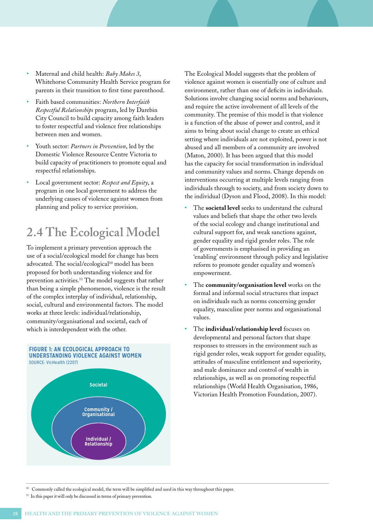- Maternal and child health: *Baby Makes 3*, Whitehorse Community Health Service program for parents in their transition to first time parenthood.
- Faith based communities: *Northern Interfaith Respectful Relationships* program, led by Darebin City Council to build capacity among faith leaders to foster respectful and violence free relationships between men and women.
- Youth sector: *Partners in Prevention*, led by the Domestic Violence Resource Centre Victoria to build capacity of practitioners to promote equal and respectful relationships.
- Local government sector: *Respect and Equity*, a program in one local government to address the underlying causes of violence against women from planning and policy to service provision.

## **2.4 The Ecological Model**

To implement a primary prevention approach the use of a social/ecological model for change has been advocated. The social/ecological<sup>10</sup> model has been proposed for both understanding violence and for prevention activities.11 The model suggests that rather than being a simple phenomenon, violence is the result of the complex interplay of individual, relationship, social, cultural and environmental factors. The model works at three levels: individual/relationship, community/organisational and societal, each of which is interdependent with the other.



The Ecological Model suggests that the problem of violence against women is essentially one of culture and environment, rather than one of deficits in individuals. Solutions involve changing social norms and behaviours, and require the active involvement of all levels of the community. The premise of this model is that violence is a function of the abuse of power and control, and it aims to bring about social change to create an ethical setting where individuals are not exploited, power is not abused and all members of a community are involved (Maton, 2000). It has been argued that this model has the capacity for social transformation in individual and community values and norms. Change depends on interventions occurring at multiple levels ranging from individuals through to society, and from society down to the individual (Dyson and Flood, 2008). In this model:

- The **societal level** seeks to understand the cultural values and beliefs that shape the other two levels of the social ecology and change institutional and cultural support for, and weak sanctions against, gender equality and rigid gender roles. The role of governments is emphasised in providing an 'enabling' environment through policy and legislative reform to promote gender equality and women's empowerment.
- The **community/organisation level** works on the formal and informal social structures that impact on individuals such as norms concerning gender equality, masculine peer norms and organisational values.
- The **individual/relationship level** focuses on developmental and personal factors that shape responses to stressors in the environment such as rigid gender roles, weak support for gender equality, attitudes of masculine entitlement and superiority, and male dominance and control of wealth in relationships, as well as on promoting respectful relationships (World Health Organisation, 1986, Victorian Health Promotion Foundation, 2007).

10 Commonly called the ecological model, the term will be simplified and used in this way throughout this paper.

<sup>11</sup> In this paper it will only be discussed in terms of primary prevention.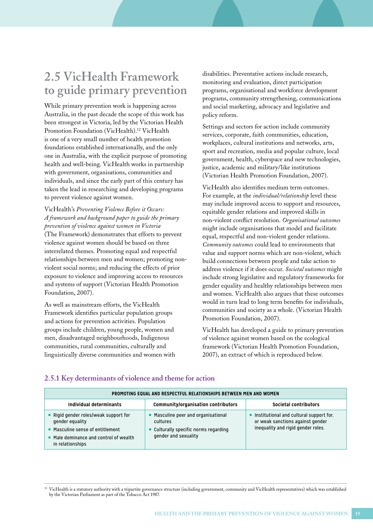## **2.5 VicHealth Framework to guide primary prevention**

While primary prevention work is happening across Australia, in the past decade the scope of this work has been strongest in Victoria, led by the Victorian Health Promotion Foundation (VicHealth).<sup>12</sup> VicHealth is one of a very small number of health promotion foundations established internationally, and the only one in Australia, with the explicit purpose of promoting health and well-being. VicHealth works in partnership with government, organisations, communities and individuals, and since the early part of this century has taken the lead in researching and developing programs to prevent violence against women.

### VicHealth's *Preventing Violence Before it Occurs: A framework and background paper to guide the primary prevention of violence against women in Victoria*

(The Framework) demonstrates that efforts to prevent violence against women should be based on three interrelated themes. Promoting equal and respectful relationships between men and women; promoting nonviolent social norms; and reducing the effects of prior exposure to violence and improving access to resources and systems of support (Victorian Health Promotion Foundation, 2007).

As well as mainstream efforts, the VicHealth Framework identifies particular population groups and actions for prevention activities. Population groups include children, young people, women and men, disadvantaged neighbourhoods, Indigenous communities, rural communities, culturally and linguistically diverse communities and women with disabilities. Preventative actions include research, monitoring and evaluation, direct participation programs, organisational and workforce development programs, community strengthening, communications and social marketing, advocacy and legislative and policy reform.

Settings and sectors for action include community services, corporate, faith communities, education, workplaces, cultural institutions and networks, arts, sport and recreation, media and popular culture, local government, health, cyberspace and new technologies, justice, academic and military/like institutions (Victorian Health Promotion Foundation, 2007).

VicHealth also identifies medium term outcomes. For example, at the *individual/relationship* level these may include improved access to support and resources, equitable gender relations and improved skills in non-violent conflict resolution. *Organisational outcomes* might include organisations that model and facilitate equal, respectful and non-violent gender relations. *Community outcomes* could lead to environments that value and support norms which are non-violent, which build connections between people and take action to address violence if it does occur. *Societal outcomes* might include strong legislative and regulatory frameworks for gender equality and healthy relationships between men and women. VicHealth also argues that these outcomes would in turn lead to long term benefits for individuals, communities and society as a whole. (Victorian Health Promotion Foundation, 2007).

VicHealth has developed a guide to primary prevention of violence against women based on the ecological framework (Victorian Health Promotion Foundation, 2007), an extract of which is reproduced below.

| PROMOTING EQUAL AND RESPECTFUL RELATIONSHIPS BETWEEN MEN AND WOMEN                                                                                       |                                                                                                                  |                                                                                                                   |  |
|----------------------------------------------------------------------------------------------------------------------------------------------------------|------------------------------------------------------------------------------------------------------------------|-------------------------------------------------------------------------------------------------------------------|--|
| Individual determinants                                                                                                                                  | Community/organisation contributors                                                                              | Societal contributors                                                                                             |  |
| Rigid gender roles/weak support for<br>gender equality<br>■ Masculine sense of entitlement<br>• Male dominance and control of wealth<br>in relationships | • Masculine peer and organisational<br>cultures<br>• Culturally specific norms regarding<br>gender and sexuality | Institutional and cultural support for.<br>or weak sanctions against gender<br>inequality and rigid gender roles. |  |

### **2.5.1 Key determinants of violence and theme for action**

<sup>&</sup>lt;sup>12</sup> VicHealth is a statutory authority with a tripartite governance structure (including government, community and VicHealth representatives) which was established by the Victorian Parliament as part of the Tobacco Act 1987.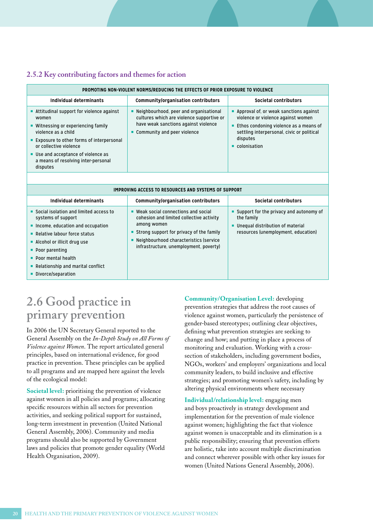### **2.5.2 Key contributing factors and themes for action**

| PROMOTING NON-VIOLENT NORMS/REDUCING THE EFFECTS OF PRIOR EXPOSURE TO VIOLENCE                                                                                                                                                                                                    |                                                                                                                                                                                                                                      |                                                                                                                                                                                                       |  |
|-----------------------------------------------------------------------------------------------------------------------------------------------------------------------------------------------------------------------------------------------------------------------------------|--------------------------------------------------------------------------------------------------------------------------------------------------------------------------------------------------------------------------------------|-------------------------------------------------------------------------------------------------------------------------------------------------------------------------------------------------------|--|
| Individual determinants                                                                                                                                                                                                                                                           | Community/organisation contributors                                                                                                                                                                                                  | Societal contributors                                                                                                                                                                                 |  |
| Attitudinal support for violence against<br>women<br>■ Witnessing or experiencing family<br>violence as a child<br>■ Exposure to other forms of interpersonal<br>or collective violence<br>■ Use and acceptance of violence as<br>a means of resolving inter-personal<br>disputes | • Neighbourhood, peer and organisational<br>cultures which are violence supportive or<br>have weak sanctions against violence<br>Community and peer violence<br>٠                                                                    | Approval of, or weak sanctions against<br>violence or violence against women<br>Ethos condoning violence as a means of<br>٠<br>settling interpersonal, civic or political<br>disputes<br>colonisation |  |
|                                                                                                                                                                                                                                                                                   |                                                                                                                                                                                                                                      |                                                                                                                                                                                                       |  |
|                                                                                                                                                                                                                                                                                   | IMPROVING ACCESS TO RESOURCES AND SYSTEMS OF SUPPORT                                                                                                                                                                                 |                                                                                                                                                                                                       |  |
| Individual determinants                                                                                                                                                                                                                                                           | Community/organisation contributors                                                                                                                                                                                                  | Societal contributors                                                                                                                                                                                 |  |
| ■ Social isolation and limited access to<br>systems of support<br>Income, education and occupation<br>• Relative labour force status<br>Alcohol or illicit drug use<br>• Poor parenting<br>• Poor mental health                                                                   | ■ Weak social connections and social<br>cohesion and limited collective activity<br>among women<br>Strong support for privacy of the family<br>٠<br>Neighbourhood characteristics (service<br>infrastructure, unemployment, poverty) | Support for the privacy and autonomy of<br>٠<br>the family<br>Unequal distribution of material<br>٠<br>resources (unemployment, education)                                                            |  |

- Relationship and marital conflict
- Divorce/separation

## **2.6 Good practice in primary prevention**

In 2006 the UN Secretary General reported to the General Assembly on the *In-Depth Study on All Forms of Violence against Women*. The report articulated general principles, based on international evidence, for good practice in prevention. These principles can be applied to all programs and are mapped here against the levels of the ecological model:

**Societal level:** prioritising the prevention of violence against women in all policies and programs; allocating specific resources within all sectors for prevention activities, and seeking political support for sustained, long-term investment in prevention (United National General Assembly, 2006). Community and media programs should also be supported by Government laws and policies that promote gender equality (World Health Organisation, 2009).

**Community/Organisation Level:** developing prevention strategies that address the root causes of violence against women, particularly the persistence of gender-based stereotypes; outlining clear objectives, defining what prevention strategies are seeking to change and how; and putting in place a process of monitoring and evaluation. Working with a crosssection of stakeholders, including government bodies, NGOs, workers' and employers' organizations and local community leaders, to build inclusive and effective strategies; and promoting women's safety, including by altering physical environments where necessary

**Individual/relationship level:** engaging men and boys proactively in strategy development and implementation for the prevention of male violence against women; highlighting the fact that violence against women is unacceptable and its elimination is a public responsibility; ensuring that prevention efforts are holistic, take into account multiple discrimination and connect wherever possible with other key issues for women (United Nations General Assembly, 2006).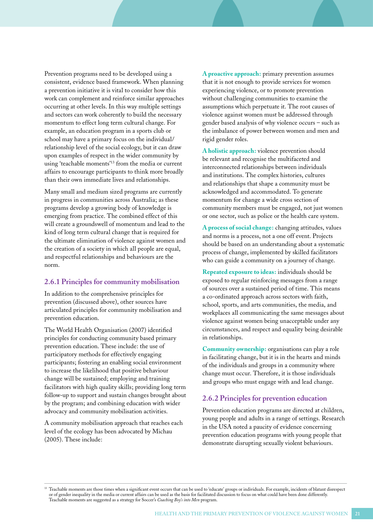Prevention programs need to be developed using a consistent, evidence based framework. When planning a prevention initiative it is vital to consider how this work can complement and reinforce similar approaches occurring at other levels. In this way multiple settings and sectors can work coherently to build the necessary momentum to effect long term cultural change. For example, an education program in a sports club or school may have a primary focus on the individual/ relationship level of the social ecology, but it can draw upon examples of respect in the wider community by using 'teachable moments'13 from the media or current affairs to encourage participants to think more broadly than their own immediate lives and relationships.

Many small and medium sized programs are currently in progress in communities across Australia; as these programs develop a growing body of knowledge is emerging from practice. The combined effect of this will create a groundswell of momentum and lead to the kind of long term cultural change that is required for the ultimate elimination of violence against women and the creation of a society in which all people are equal, and respectful relationships and behaviours are the norm.

### **2.6.1 Principles for community mobilisation**

In addition to the comprehensive principles for prevention (discussed above), other sources have articulated principles for community mobilisation and prevention education.

The World Health Organisation (2007) identified principles for conducting community based primary prevention education. These include: the use of participatory methods for effectively engaging participants; fostering an enabling social environment to increase the likelihood that positive behaviour change will be sustained; employing and training facilitators with high quality skills; providing long term follow-up to support and sustain changes brought about by the program; and combining education with wider advocacy and community mobilisation activities.

A community mobilisation approach that reaches each level of the ecology has been advocated by Michau (2005). These include:

**A proactive approach:** primary prevention assumes that it is not enough to provide services for women experiencing violence, or to promote prevention without challenging communities to examine the assumptions which perpetuate it. The root causes of violence against women must be addressed through gender based analysis of why violence occurs – such as the imbalance of power between women and men and rigid gender roles.

**A holistic approach:** violence prevention should be relevant and recognise the multifaceted and interconnected relationships between individuals and institutions. The complex histories, cultures and relationships that shape a community must be acknowledged and accommodated. To generate momentum for change a wide cross section of community members must be engaged, not just women or one sector, such as police or the health care system.

**A process of social change:** changing attitudes, values and norms is a process, not a one off event. Projects should be based on an understanding about a systematic process of change, implemented by skilled facilitators who can guide a community on a journey of change.

**Repeated exposure to ideas:** individuals should be exposed to regular reinforcing messages from a range of sources over a sustained period of time. This means a co-ordinated approach across sectors with faith, school, sports, and arts communities, the media, and workplaces all communicating the same messages about violence against women being unacceptable under any circumstances, and respect and equality being desirable in relationships.

**Community ownership:** organisations can play a role in facilitating change, but it is in the hearts and minds of the individuals and groups in a community where change must occur. Therefore, it is those individuals and groups who must engage with and lead change.

### **2.6.2 Principles for prevention education**

Prevention education programs are directed at children, young people and adults in a range of settings. Research in the USA noted a paucity of evidence concerning prevention education programs with young people that demonstrate disrupting sexually violent behaviours.

<sup>&</sup>lt;sup>13</sup> Teachable moments are those times when a significant event occurs that can be used to 'educate' groups or individuals. For example, incidents of blatant disrespect or of gender inequality in the media or current affairs can be used as the basis for facilitated discussion to focus on what could have been done differently. Teachable moments are suggested as a strategy for Soccer's *Coaching Boy's into Men* program.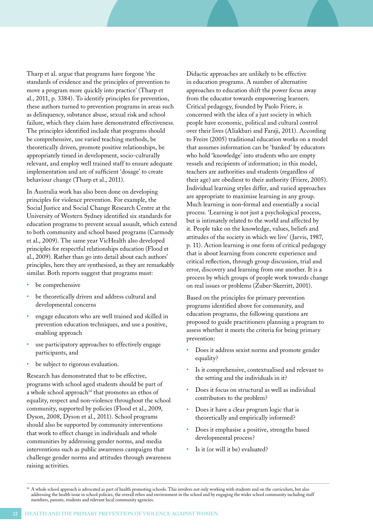Tharp et al. argue that programs have forgone 'the standards of evidence and the principles of prevention to move a program more quickly into practice' (Tharp et al., 2011, p. 3384). To identify principles for prevention, these authors turned to prevention programs in areas such as delinquency, substance abuse, sexual risk and school failure, which they claim have demonstrated effectiveness. The principles identified include that programs should be comprehensive, use varied teaching methods, be theoretically driven, promote positive relationships, be appropriately timed in development, socio-culturally relevant, and employ well trained staff to ensure adequate implementation and are of sufficient 'dosage' to create behaviour change (Tharp et al., 2011).

In Australia work has also been done on developing principles for violence prevention. For example, the Social Justice and Social Change Research Centre at the University of Western Sydney identified six standards for education programs to prevent sexual assault, which extend to both community and school based programs (Carmody et al., 2009). The same year VicHealth also developed principles for respectful relationships education (Flood et al., 2009). Rather than go into detail about each authors' principles, here they are synthesised, as they are remarkably similar. Both reports suggest that programs must:

- be comprehensive
- be theoretically driven and address cultural and developmental concerns
- engage educators who are well trained and skilled in prevention education techniques, and use a positive, enabling approach
- use participatory approaches to effectively engage participants, and
- be subject to rigorous evaluation.

Research has demonstrated that to be effective, programs with school aged students should be part of a whole school approach<sup>14</sup> that promotes an ethos of equality, respect and non-violence throughout the school community, supported by policies (Flood et al., 2009, Dyson, 2008, Dyson et al., 2011). School programs should also be supported by community interventions that work to effect change in individuals and whole communities by addressing gender norms, and media interventions such as public awareness campaigns that challenge gender norms and attitudes through awareness raising activities.

Didactic approaches are unlikely to be effective in education programs. A number of alternative approaches to education shift the power focus away from the educator towards empowering learners. Critical pedagogy, founded by Paolo Friere, is concerned with the idea of a just society in which people have economic, political and cultural control over their lives (Aliakbari and Faraji, 2011). According to Freire (2005) traditional education works on a model that assumes information can be 'banked' by educators who hold 'knowledge' into students who are empty vessels and recipients of information; in this model, teachers are authorities and students (regardless of their age) are obedient to their authority (Friere, 2005). Individual learning styles differ, and varied approaches are appropriate to maximise learning in any group. Much learning is non-formal and essentially a social process. 'Learning is not just a psychological process, but is intimately related to the world and affected by it. People take on the knowledge, values, beliefs and attitudes of the society in which we live' (Jarvis, 1987, p. 11). Action learning is one form of critical pedagogy that is about learning from concrete experience and critical reflection, through group discussion, trial and error, discovery and learning from one another. It is a process by which groups of people work towards change on real issues or problems (Zuber-Skerritt, 2001).

Based on the principles for primary prevention programs identified above for community, and education programs, the following questions are proposed to guide practitioners planning a program to assess whether it meets the criteria for being primary prevention:

- Does it address sexist norms and promote gender equality?
- Is it comprehensive, contextualised and relevant to the setting and the individuals in it?
- Does it focus on structural as well as individual contributors to the problem?
- Does it have a clear program logic that is theoretically and empirically informed?
- Does it emphasise a positive, strengths based developmental process?
- Is it (or will it be) evaluated?

<sup>&</sup>lt;sup>14</sup> A whole school approach is advocated as part of health promoting schools. This involves not only working with students and on the curriculum, but also addressing the health issue in school policies, the overall ethos and environment in the school and by engaging the wider school community including staff members, parents, students and relevant local community agencies.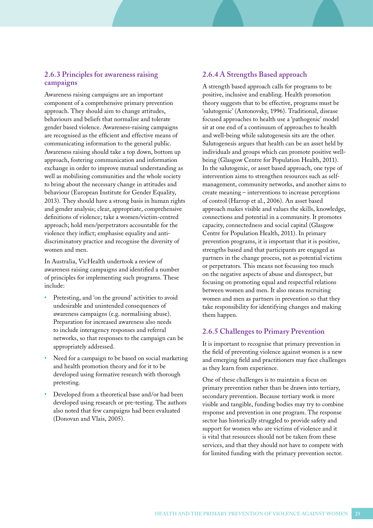### **2.6.3 Principles for awareness raising campaigns**

Awareness raising campaigns are an important component of a comprehensive primary prevention approach. They should aim to change attitudes, behaviours and beliefs that normalise and tolerate gender based violence. Awareness-raising campaigns are recognised as the efficient and effective means of communicating information to the general public. Awareness raising should take a top down, bottom up approach, fostering communication and information exchange in order to improve mutual understanding as well as mobilising communities and the whole society to bring about the necessary change in attitudes and behaviour (European Institute for Gender Equality, 2013). They should have a strong basis in human rights and gender analysis; clear, appropriate, comprehensive definitions of violence; take a women/victim-centred approach; hold men/perpetrators accountable for the violence they inflict; emphasise equality and antidiscriminatory practice and recognise the diversity of women and men.

In Australia, VicHealth undertook a review of awareness raising campaigns and identified a number of principles for implementing such programs. These include:

- Pretesting, and 'on the ground' activities to avoid undesirable and unintended consequences of awareness campaigns (e.g. normalising abuse). Preparation for increased awareness also needs to include interagency responses and referral networks, so that responses to the campaign can be appropriately addressed.
- Need for a campaign to be based on social marketing and health promotion theory and for it to be developed using formative research with thorough pretesting.
- Developed from a theoretical base and/or had been developed using research or pre-testing. The authors also noted that few campaigns had been evaluated (Donovan and Vlais, 2005).

### **2.6.4 A Strengths Based approach**

A strength based approach calls for programs to be positive, inclusive and enabling. Health promotion theory suggests that to be effective, programs must be 'salutogenic' (Antonovsky, 1996). Traditional, disease focused approaches to health use a 'pathogenic' model sit at one end of a continuum of approaches to health and well-being while salutogenesis sits are the other. Salutogenesis argues that health can be an asset held by individuals and groups which can promote positive wellbeing (Glasgow Centre for Population Health, 2011). In the salutogenic, or asset based approach, one type of intervention aims to strengthen resources such as selfmanagement, community networks, and another aims to create meaning – interventions to increase perceptions of control (Harrop et al., 2006). An asset based approach makes visible and values the skills, knowledge, connections and potential in a community. It promotes capacity, connectedness and social capital (Glasgow Centre for Population Health, 2011). In primary prevention programs, it is important that it is positive, strengths based and that participants are engaged as partners in the change process, not as potential victims or perpetrators. This means not focussing too much on the negative aspects of abuse and disrespect, but focusing on promoting equal and respectful relations between women and men. It also means recruiting women and men as partners in prevention so that they take responsibility for identifying changes and making them happen.

### **2.6.5 Challenges to Primary Prevention**

It is important to recognise that primary prevention in the field of preventing violence against women is a new and emerging field and practitioners may face challenges as they learn from experience.

One of these challenges is to maintain a focus on primary prevention rather than be drawn into tertiary, secondary prevention. Because tertiary work is more visible and tangible, funding bodies may try to combine response and prevention in one program. The response sector has historically struggled to provide safety and support for women who are victims of violence and it is vital that resources should not be taken from these services, and that they should not have to compete with for limited funding with the primary prevention sector.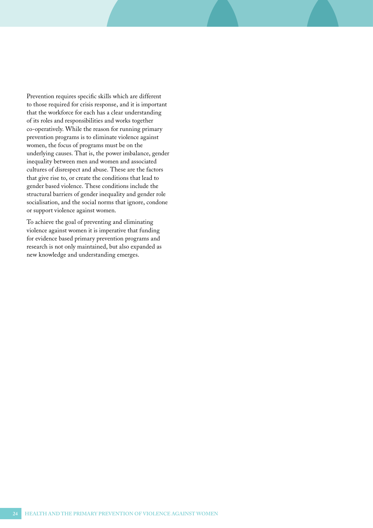Prevention requires specific skills which are different to those required for crisis response, and it is important that the workforce for each has a clear understanding of its roles and responsibilities and works together co-operatively. While the reason for running primary prevention programs is to eliminate violence against women, the focus of programs must be on the underlying causes. That is, the power imbalance, gender inequality between men and women and associated cultures of disrespect and abuse. These are the factors that give rise to, or create the conditions that lead to gender based violence. These conditions include the structural barriers of gender inequality and gender role socialisation, and the social norms that ignore, condone or support violence against women.

To achieve the goal of preventing and eliminating violence against women it is imperative that funding for evidence based primary prevention programs and research is not only maintained, but also expanded as new knowledge and understanding emerges.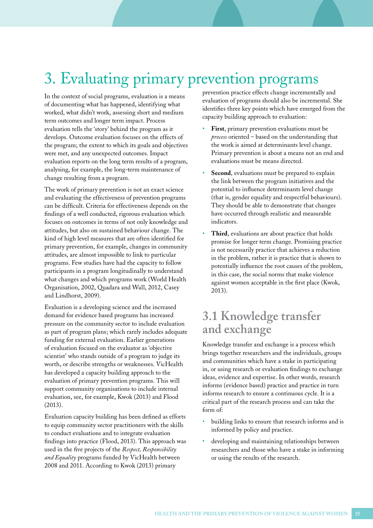# 3. Evaluating primary prevention programs

In the context of social programs, evaluation is a means of documenting what has happened, identifying what worked, what didn't work, assessing short and medium term outcomes and longer term impact. Process evaluation tells the 'story' behind the program as it develops. Outcome evaluation focuses on the effects of the program; the extent to which its goals and objectives were met, and any unexpected outcomes. Impact evaluation reports on the long term results of a program, analysing, for example, the long-term maintenance of change resulting from a program.

The work of primary prevention is not an exact science and evaluating the effectiveness of prevention programs can be difficult. Criteria for effectiveness depends on the findings of a well conducted, rigorous evaluation which focuses on outcomes in terms of not only knowledge and attitudes, but also on sustained behaviour change. The kind of high level measures that are often identified for primary prevention, for example, changes in community attitudes, are almost impossible to link to particular programs. Few studies have had the capacity to follow participants in a program longitudinally to understand what changes and which programs work (World Health Organisation, 2002, Quadara and Wall, 2012, Casey and Lindhorst, 2009).

Evaluation is a developing science and the increased demand for evidence based programs has increased pressure on the community sector to include evaluation as part of program plans; which rarely includes adequate funding for external evaluation. Earlier generations of evaluation focused on the evaluator as 'objective scientist' who stands outside of a program to judge its worth, or describe strengths or weaknesses. VicHealth has developed a capacity building approach to the evaluation of primary prevention programs. This will support community organisations to include internal evaluation, see, for example, Kwok (2013) and Flood (2013).

Evaluation capacity building has been defined as efforts to equip community sector practitioners with the skills to conduct evaluations and to integrate evaluation findings into practice (Flood, 2013). This approach was used in the five projects of the *Respect, Responsibility and Equality* programs funded by VicHealth between 2008 and 2011. According to Kwok (2013) primary

prevention practice effects change incrementally and evaluation of programs should also be incremental. She identifies three key points which have emerged from the capacity building approach to evaluation:

- First, primary prevention evaluations must be *process* oriented – based on the understanding that the work is aimed at determinants level change. Primary prevention is about a means not an end and evaluations must be means directed.
- Second, evaluations must be prepared to explain the link between the program initiatives and the potential to influence determinants level change (that is, gender equality and respectful behaviours). They should be able to demonstrate that changes have occurred through realistic and measurable indicators.
- **Third**, evaluations are about practice that holds promise for longer term change. Promising practice is not necessarily practice that achieves a reduction in the problem, rather it is practice that is shown to potentially influence the root causes of the problem, in this case, the social norms that make violence against women acceptable in the first place (Kwok, 2013).

## **3.1 Knowledge transfer and exchange**

Knowledge transfer and exchange is a process which brings together researchers and the individuals, groups and communities which have a stake in participating in, or using research or evaluation findings to exchange ideas, evidence and expertise. In other words, research informs (evidence based) practice and practice in turn informs research to ensure a continuous cycle. It is a critical part of the research process and can take the form of:

- building links to ensure that research informs and is informed by policy and practice.
- developing and maintaining relationships between researchers and those who have a stake in informing or using the results of the research.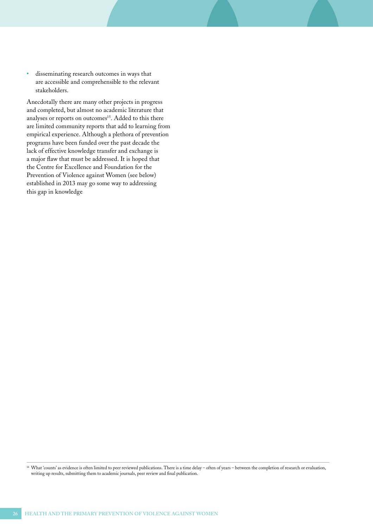• disseminating research outcomes in ways that are accessible and comprehensible to the relevant stakeholders.

Anecdotally there are many other projects in progress and completed, but almost no academic literature that analyses or reports on outcomes<sup>15</sup>. Added to this there are limited community reports that add to learning from empirical experience. Although a plethora of prevention programs have been funded over the past decade the lack of effective knowledge transfer and exchange is a major flaw that must be addressed. It is hoped that the Centre for Excellence and Foundation for the Prevention of Violence against Women (see below) established in 2013 may go some way to addressing this gap in knowledge

<sup>14</sup> What 'counts' as evidence is often limited to peer reviewed publications. There is a time delay – often of years – between the completion of research or evaluation, writing up results, submitting them to academic journals, peer review and final publication.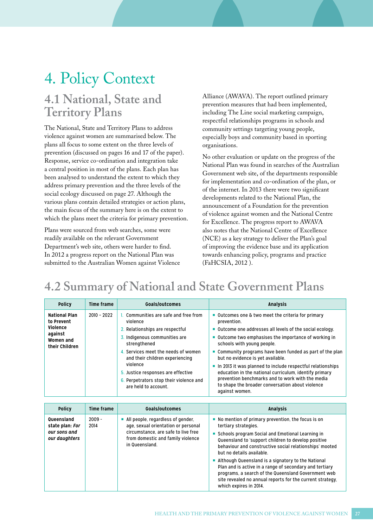# 4. Policy Context

## **4.1 National, State and Territory Plans**

The National, State and Territory Plans to address violence against women are summarised below. The plans all focus to some extent on the three levels of prevention (discussed on pages 16 and 17 of the paper). Response, service co-ordination and integration take a central position in most of the plans. Each plan has been analysed to understand the extent to which they address primary prevention and the three levels of the social ecology discussed on page 27. Although the various plans contain detailed strategies or action plans, the main focus of the summary here is on the extent to which the plans meet the criteria for primary prevention.

Plans were sourced from web searches, some were readily available on the relevant Government Department's web site, others were harder to find. In 2012 a progress report on the National Plan was submitted to the Australian Women against Violence Alliance (AWAVA). The report outlined primary prevention measures that had been implemented, including The Line social marketing campaign, respectful relationships programs in schools and community settings targeting young people, especially boys and community based in sporting organisations.

No other evaluation or update on the progress of the National Plan was found in searches of the Australian Government web site, of the departments responsible for implementation and co-ordination of the plan, or of the internet. In 2013 there were two significant developments related to the National Plan, the announcement of a Foundation for the prevention of violence against women and the National Centre for Excellence. The progress report to AWAVA also notes that the National Centre of Excellence (NCE) as a key strategy to deliver the Plan's goal of improving the evidence base and its application towards enhancing policy, programs and practice (FaHCSIA, 2012 ).

## **4.2 Summary of National and State Government Plans**

| <b>Policy</b>                                  | Time frame    | Goals/outcomes                                                                     | Analysis                                                                                                                       |
|------------------------------------------------|---------------|------------------------------------------------------------------------------------|--------------------------------------------------------------------------------------------------------------------------------|
| <b>National Plan</b><br>to Prevent<br>Violence | $2010 - 2022$ | Communities are safe and free from<br>violence<br>2. Relationships are respectful  | ■ Outcomes one & two meet the criteria for primary<br>prevention.<br>• Outcome one addresses all levels of the social ecology. |
| against<br>Women and<br>their Children         |               | 3. Indigenous communities are<br>strengthened                                      | • Outcome two emphasises the importance of working in<br>schools with young people.                                            |
|                                                |               | 4. Services meet the needs of women<br>and their children experiencing<br>violence | ■ Community programs have been funded as part of the plan<br>but no evidence is yet available.                                 |
|                                                |               | 5. Justice responses are effective                                                 | In 2013 it was planned to include respectful relationships<br>education in the national curriculum, identify primary           |
|                                                |               | 6. Perpetrators stop their violence and<br>are held to account.                    | prevention benchmarks and to work with the media<br>to shape the broader conversation about violence<br>against women.         |

| <b>Policy</b>                                                  | Time frame       | <b>Goals/outcomes</b>                                                                                                                                                  | <b>Analysis</b>                                                                                                                                                                                                                                                                                                                                                                                                                                                                                                                               |
|----------------------------------------------------------------|------------------|------------------------------------------------------------------------------------------------------------------------------------------------------------------------|-----------------------------------------------------------------------------------------------------------------------------------------------------------------------------------------------------------------------------------------------------------------------------------------------------------------------------------------------------------------------------------------------------------------------------------------------------------------------------------------------------------------------------------------------|
| Queensland<br>state plan: For<br>our sons and<br>our daughters | $2009 -$<br>2014 | All people, regardless of gender,<br>age, sexual orientation or personal<br>circumstance, are safe to live free<br>from domestic and family violence<br>in Queensland. | • No mention of primary prevention, the focus is on<br>tertiary strategies.<br>Schools program Social and Emotional Learning in<br>Queensland to 'support children to develop positive<br>behaviour and constructive social relationships' mooted<br>but no details available.<br>Although Queensland is a signatory to the National<br>Plan and is active in a range of secondary and tertiary<br>programs, a search of the Queensland Government web<br>site revealed no annual reports for the current strategy,<br>which expires in 2014. |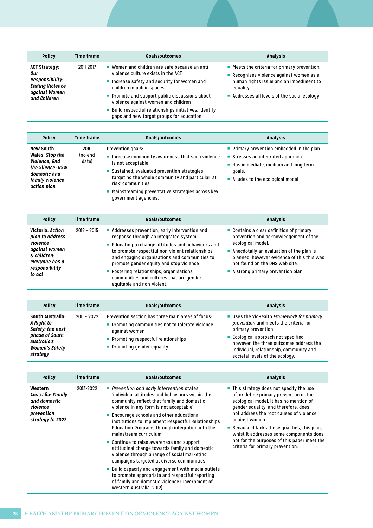| <b>Policy</b>                                                                                             | Time frame | Goals/outcomes                                                                                                                                                                                                                                                                                                                                                  | <b>Analysis</b>                                                                                                                                                                              |
|-----------------------------------------------------------------------------------------------------------|------------|-----------------------------------------------------------------------------------------------------------------------------------------------------------------------------------------------------------------------------------------------------------------------------------------------------------------------------------------------------------------|----------------------------------------------------------------------------------------------------------------------------------------------------------------------------------------------|
| <b>ACT Strategy:</b><br>0ur<br>Responsibility:<br><b>Ending Violence</b><br>against Women<br>and Children | 2011-2017  | ■ Women and children are safe because an anti-<br>violence culture exists in the ACT<br>Increase safety and security for women and<br>children in public spaces<br>• Promote and support public discussions about<br>violence against women and children<br>■ Build respectful relationships initiatives, identify<br>gaps and new target groups for education. | ■ Meets the criteria for primary prevention.<br>Recognises violence against women as a<br>human rights issue and an impediment to<br>equality.<br>Addresses all levels of the social ecology |

| <b>Policy</b>                                                                                                       | Time frame               | Goals/outcomes                                                                                                                                                                                                                                                                                    | <b>Analysis</b>                                                                                                                                                                   |
|---------------------------------------------------------------------------------------------------------------------|--------------------------|---------------------------------------------------------------------------------------------------------------------------------------------------------------------------------------------------------------------------------------------------------------------------------------------------|-----------------------------------------------------------------------------------------------------------------------------------------------------------------------------------|
| New South<br>Wales: Stop the<br>Violence, End<br>the Silence: NSW<br>domestic and<br>family violence<br>action plan | 2010<br>(no end<br>date) | Prevention goals:<br>Increase community awareness that such violence<br>п<br>is not acceptable<br>Sustained, evaluated prevention strategies<br>targeting the whole community and particular 'at<br>risk' communities<br>Mainstreaming preventative strategies across key<br>government agencies. | $\blacksquare$ Primary prevention embedded in the plan.<br>Stresses an integrated approach.<br>■ Has immediate, medium and long term<br>goals.<br>Alludes to the ecological model |

| <b>Policy</b>                                                                                                                 | Time frame    | Goals/outcomes                                                                                                                                                                                                                                                                                                                                                                                                    | <b>Analysis</b>                                                                                                                                                                                                                                                                        |
|-------------------------------------------------------------------------------------------------------------------------------|---------------|-------------------------------------------------------------------------------------------------------------------------------------------------------------------------------------------------------------------------------------------------------------------------------------------------------------------------------------------------------------------------------------------------------------------|----------------------------------------------------------------------------------------------------------------------------------------------------------------------------------------------------------------------------------------------------------------------------------------|
| Victoria: Action<br>plan to address<br>violence<br>against women<br>& children:<br>everyone has a<br>responsibility<br>to act | $2012 - 2015$ | Addresses prevention, early intervention and<br>response through an integrated system<br>■ Educating to change attitudes and behaviours and<br>to promote respectful non-violent relationships<br>and engaging organisations and communities to<br>promote gender equity and stop violence<br>■ Fostering relationships, organisations,<br>communities and cultures that are gender<br>equitable and non-violent. | ■ Contains a clear definition of primary<br>prevention and acknowledgement of the<br>ecological model.<br>Anecdotally an evaluation of the plan is<br>planned, however evidence of this this was<br>not found on the DHS web site.<br>$\blacksquare$ A strong primary prevention plan. |

| <b>Policy</b>                                                                                                            | Time frame  | Goals/outcomes                                                                                                                                                                                 | Analysis                                                                                                                                                                                                                                                                    |
|--------------------------------------------------------------------------------------------------------------------------|-------------|------------------------------------------------------------------------------------------------------------------------------------------------------------------------------------------------|-----------------------------------------------------------------------------------------------------------------------------------------------------------------------------------------------------------------------------------------------------------------------------|
| South Australia:<br>A Right to<br>Safety: the next<br>phase of South<br>Australia's<br><b>Women's Safety</b><br>strategy | 2011 - 2022 | Prevention section has three main areas of focus:<br>• Promoting communities not to tolerate violence<br>against women<br>• Promoting respectful relationships<br>• Promoting gender equality. | ■ Uses the VicHealth Framework for primary<br>prevention and meets the criteria for<br>primary prevention.<br>■ Ecological approach not specified,<br>however, the three outcomes address the<br>individual, relationship, community and<br>societal levels of the ecology. |

| <b>Policy</b>                                                                                     | <b>Time frame</b> | Goals/outcomes                                                                                                                                                                                                                                                                                                                                                                                                                                                                                                                                                                                                                                                                                                                                          | <b>Analysis</b>                                                                                                                                                                                                                                                                                                                                                                                                  |
|---------------------------------------------------------------------------------------------------|-------------------|---------------------------------------------------------------------------------------------------------------------------------------------------------------------------------------------------------------------------------------------------------------------------------------------------------------------------------------------------------------------------------------------------------------------------------------------------------------------------------------------------------------------------------------------------------------------------------------------------------------------------------------------------------------------------------------------------------------------------------------------------------|------------------------------------------------------------------------------------------------------------------------------------------------------------------------------------------------------------------------------------------------------------------------------------------------------------------------------------------------------------------------------------------------------------------|
| Western<br><b>Australia: Family</b><br>and domestic<br>violence<br>prevention<br>strategy to 2022 | 2013-2022         | Prevention and early intervention states<br>'individual attitudes and behaviours within the<br>community reflect that family and domestic<br>violence in any form is not acceptable'<br>■ Encourage schools and other educational<br>institutions to implement Respectful Relationships<br>Education Programs through integration into the<br>mainstream curriculum<br>■ Continue to raise awareness and support<br>attitudinal change towards family and domestic<br>violence through a range of social marketing<br>campaigns targeted at diverse communities<br>■ Build capacity and engagement with media outlets<br>to promote appropriate and respectful reporting<br>of family and domestic violence (Government of<br>Western Australia, 2012). | ■ This strategy does not specify the use<br>of, or define primary prevention or the<br>ecological model; it has no mention of<br>gender equality, and therefore, does<br>not address the root causes of violence<br>against women.<br>Because it lacks these qualities, this plan,<br>whist it addresses some components does<br>not for the purposes of this paper meet the<br>criteria for primary prevention. |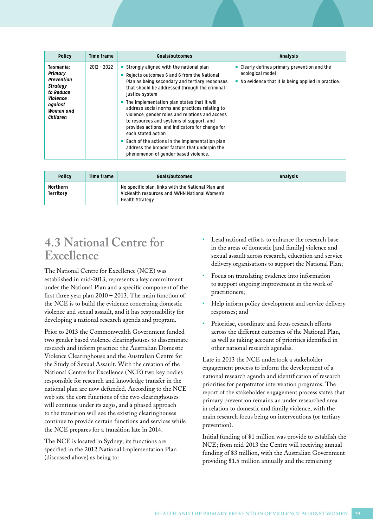| <b>Policy</b>                                                                                                                    | Time frame    | Goals/outcomes                                                                                                                                                                                                                                                                                                                                                                                                                                                                                                                                                                                                                                                    | <b>Analysis</b>                                                                                                          |
|----------------------------------------------------------------------------------------------------------------------------------|---------------|-------------------------------------------------------------------------------------------------------------------------------------------------------------------------------------------------------------------------------------------------------------------------------------------------------------------------------------------------------------------------------------------------------------------------------------------------------------------------------------------------------------------------------------------------------------------------------------------------------------------------------------------------------------------|--------------------------------------------------------------------------------------------------------------------------|
| Tasmania:<br>Primary<br>Prevention<br><b>Strategy</b><br>to Reduce<br>Violence<br>against<br><b>Women</b> and<br><b>Children</b> | $2012 - 2022$ | Strongly aligned with the national plan<br>Rejects outcomes 5 and 6 from the National<br>ш<br>Plan as being secondary and tertiary responses<br>that should be addressed through the criminal<br>justice system<br>$\blacksquare$ The implementation plan states that it will<br>address social norms and practices relating to<br>violence, gender roles and relations and access<br>to resources and systems of support, and<br>provides actions, and indicators for change for<br>each stated action<br>$\blacksquare$ Each of the actions in the implementation plan<br>address the broader factors that underpin the<br>phenomenon of gender-based violence. | Clearly defines primary prevention and the<br>ecological model<br>No evidence that it is being applied in practice.<br>п |

| <b>Policy</b>         | Time frame | Goals/outcomes                                                                                                          | <b>Analysis</b> |
|-----------------------|------------|-------------------------------------------------------------------------------------------------------------------------|-----------------|
| Northern<br>Territory |            | No specific plan, links with the National Plan and<br>VicHealth resources and AWHN National Women's<br>Health Strategy. |                 |

## **4.3 National Centre for Excellence**

The National Centre for Excellence (NCE) was established in mid-2013, represents a key commitment under the National Plan and a specific component of the first three year plan 2010 – 2013. The main function of the NCE is to build the evidence concerning domestic violence and sexual assault, and it has responsibility for developing a national research agenda and program.

Prior to 2013 the Commonwealth Government funded two gender based violence clearinghouses to disseminate research and inform practice: the Australian Domestic Violence Clearinghouse and the Australian Centre for the Study of Sexual Assault. With the creation of the National Centre for Excellence (NCE) two key bodies responsible for research and knowledge transfer in the national plan are now defunded. According to the NCE web site the core functions of the two clearinghouses will continue under its aegis, and a phased approach to the transition will see the existing clearinghouses continue to provide certain functions and services while the NCE prepares for a transition late in 2014.

The NCE is located in Sydney; its functions are specified in the 2012 National Implementation Plan (discussed above) as being to:

- Lead national efforts to enhance the research base in the areas of domestic [and family] violence and sexual assault across research, education and service delivery organisations to support the National Plan;
- Focus on translating evidence into information to support ongoing improvement in the work of practitioners;
- Help inform policy development and service delivery responses; and
- Prioritise, coordinate and focus research efforts across the different outcomes of the National Plan, as well as taking account of priorities identified in other national research agendas.

Late in 2013 the NCE undertook a stakeholder engagement process to inform the development of a national research agenda and identification of research priorities for perpetrator intervention programs. The report of the stakeholder engagement process states that primary prevention remains an under researched area in relation to domestic and family violence, with the main research focus being on interventions (or tertiary prevention).

Initial funding of \$1 million was provide to establish the NCE; from mid-2013 the Centre will receiving annual funding of \$3 million, with the Australian Government providing \$1.5 million annually and the remaining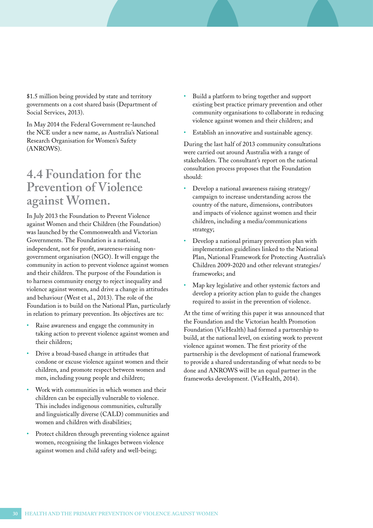\$1.5 million being provided by state and territory governments on a cost shared basis (Department of Social Services, 2013).

In May 2014 the Federal Government re-launched the NCE under a new name, as Australia's National Research Organisation for Women's Safety (ANROWS).

### **4.4 Foundation for the Prevention of Violence against Women.**

In July 2013 the Foundation to Prevent Violence against Women and their Children (the Foundation) was launched by the Commonwealth and Victorian Governments. The Foundation is a national, independent, not for profit, awareness-raising nongovernment organisation (NGO). It will engage the community in action to prevent violence against women and their children. The purpose of the Foundation is to harness community energy to reject inequality and violence against women, and drive a change in attitudes and behaviour (West et al., 2013). The role of the Foundation is to build on the National Plan, particularly in relation to primary prevention. Its objectives are to:

- Raise awareness and engage the community in taking action to prevent violence against women and their children;
- Drive a broad-based change in attitudes that condone or excuse violence against women and their children, and promote respect between women and men, including young people and children;
- Work with communities in which women and their children can be especially vulnerable to violence. This includes indigenous communities, culturally and linguistically diverse (CALD) communities and women and children with disabilities;
- Protect children through preventing violence against women, recognising the linkages between violence against women and child safety and well-being;
- Build a platform to bring together and support existing best practice primary prevention and other community organisations to collaborate in reducing violence against women and their children; and
- Establish an innovative and sustainable agency.

During the last half of 2013 community consultations were carried out around Australia with a range of stakeholders. The consultant's report on the national consultation process proposes that the Foundation should:

- Develop a national awareness raising strategy/ campaign to increase understanding across the country of the nature, dimensions, contributors and impacts of violence against women and their children, including a media/communications strategy;
- Develop a national primary prevention plan with implementation guidelines linked to the National Plan, National Framework for Protecting Australia's Children 2009-2020 and other relevant strategies/ frameworks; and
- Map key legislative and other systemic factors and develop a priority action plan to guide the changes required to assist in the prevention of violence.

At the time of writing this paper it was announced that the Foundation and the Victorian health Promotion Foundation (VicHealth) had formed a partnership to build, at the national level, on existing work to prevent violence against women. The first priority of the partnership is the development of national framework to provide a shared understanding of what needs to be done and ANROWS will be an equal partner in the frameworks development. (VicHealth, 2014).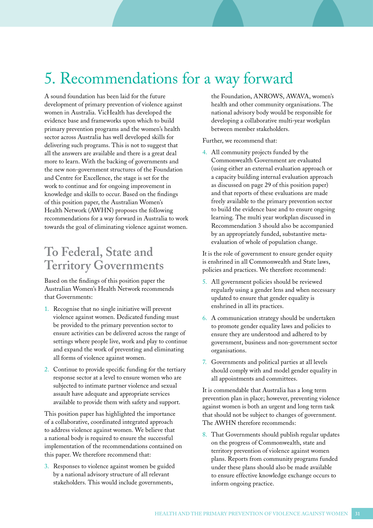# 5. Recommendations for a way forward

A sound foundation has been laid for the future development of primary prevention of violence against women in Australia. VicHealth has developed the evidence base and frameworks upon which to build primary prevention programs and the women's health sector across Australia has well developed skills for delivering such programs. This is not to suggest that all the answers are available and there is a great deal more to learn. With the backing of governments and the new non-government structures of the Foundation and Centre for Excellence, the stage is set for the work to continue and for ongoing improvement in knowledge and skills to occur. Based on the findings of this position paper, the Australian Women's Health Network (AWHN) proposes the following recommendations for a way forward in Australia to work towards the goal of eliminating violence against women.

## **To Federal, State and Territory Governments**

Based on the findings of this position paper the Australian Women's Health Network recommends that Governments:

- 1. Recognise that no single initiative will prevent violence against women. Dedicated funding must be provided to the primary prevention sector to ensure activities can be delivered across the range of settings where people live, work and play to continue and expand the work of preventing and eliminating all forms of violence against women.
- 2. Continue to provide specific funding for the tertiary response sector at a level to ensure women who are subjected to intimate partner violence and sexual assault have adequate and appropriate services available to provide them with safety and support.

This position paper has highlighted the importance of a collaborative, coordinated integrated approach to address violence against women. We believe that a national body is required to ensure the successful implementation of the recommendations contained on this paper. We therefore recommend that:

3. Responses to violence against women be guided by a national advisory structure of all relevant stakeholders. This would include governments,

the Foundation, ANROWS, AWAVA, women's health and other community organisations. The national advisory body would be responsible for developing a collaborative multi-year workplan between member stakeholders.

Further, we recommend that:

4. All community projects funded by the Commonwealth Government are evaluated (using either an external evaluation approach or a capacity building internal evaluation approach as discussed on page 29 of this position paper) and that reports of these evaluations are made freely available to the primary prevention sector to build the evidence base and to ensure ongoing learning. The multi year workplan discussed in Recommendation 3 should also be accompanied by an appropriately funded, substantive metaevaluation of whole of population change.

It is the role of government to ensure gender equity is enshrined in all Commonwealth and State laws, policies and practices. We therefore recommend:

- 5. All government policies should be reviewed regularly using a gender lens and when necessary updated to ensure that gender equality is enshrined in all its practices.
- 6. A communication strategy should be undertaken to promote gender equality laws and policies to ensure they are understood and adhered to by government, business and non-government sector organisations.
- 7. Governments and political parties at all levels should comply with and model gender equality in all appointments and committees.

It is commendable that Australia has a long term prevention plan in place; however, preventing violence against women is both an urgent and long term task that should not be subject to changes of government. The AWHN therefore recommends:

8. That Governments should publish regular updates on the progress of Commonwealth, state and territory prevention of violence against women plans. Reports from community programs funded under these plans should also be made available to ensure effective knowledge exchange occurs to inform ongoing practice.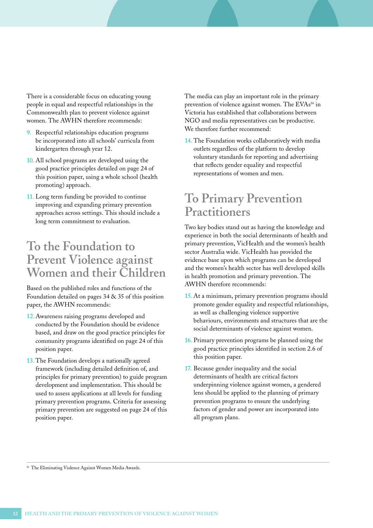There is a considerable focus on educating young people in equal and respectful relationships in the Commonwealth plan to prevent violence against women. The AWHN therefore recommends:

- 9. Respectful relationships education programs be incorporated into all schools' curricula from kindergarten through year 12.
- 10. All school programs are developed using the good practice principles detailed on page 24 of this position paper, using a whole school (health promoting) approach.
- 11. Long term funding be provided to continue improving and expanding primary prevention approaches across settings. This should include a long term commitment to evaluation.

### **To the Foundation to Prevent Violence against Women and their Children**

Based on the published roles and functions of the Foundation detailed on pages 34 & 35 of this position paper, the AWHN recommends:

- 12.Awareness raising programs developed and conducted by the Foundation should be evidence based, and draw on the good practice principles for community programs identified on page 24 of this position paper.
- 13. The Foundation develops a nationally agreed framework (including detailed definition of, and principles for primary prevention) to guide program development and implementation. This should be used to assess applications at all levels for funding primary prevention programs. Criteria for assessing primary prevention are suggested on page 24 of this position paper.

The media can play an important role in the primary prevention of violence against women. The EVAs<sup>16</sup> in Victoria has established that collaborations between NGO and media representatives can be productive. We therefore further recommend:

14. The Foundation works collaboratively with media outlets regardless of the platform to develop voluntary standards for reporting and advertising that reflects gender equality and respectful representations of women and men.

### **To Primary Prevention Practitioners**

Two key bodies stand out as having the knowledge and experience in both the social determinants of health and primary prevention, VicHealth and the women's health sector Australia wide. VicHealth has provided the evidence base upon which programs can be developed and the women's health sector has well developed skills in health promotion and primary prevention. The AWHN therefore recommends:

- 15. At a minimum, primary prevention programs should promote gender equality and respectful relationships, as well as challenging violence supportive behaviours, environments and structures that are the social determinants of violence against women.
- 16. Primary prevention programs be planned using the good practice principles identified in section 2.6 of this position paper.
- 17. Because gender inequality and the social determinants of health are critical factors underpinning violence against women, a gendered lens should be applied to the planning of primary prevention programs to ensure the underlying factors of gender and power are incorporated into all program plans.

<sup>16</sup> The Eliminating Violence Against Women Media Awards.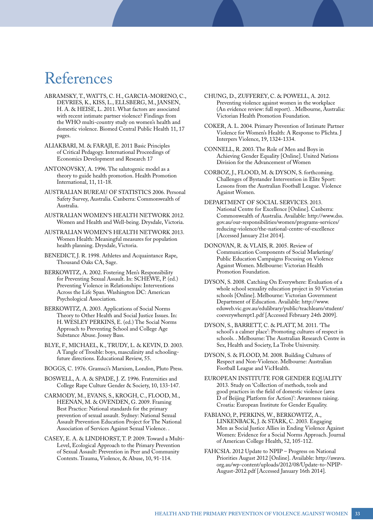## References

- ABRAMSKY, T., WATTS, C. H., GARCIA-MORENO, C., DEVRIES, K., KISS, L., ELLSBERG, M., JANSEN, H. A. & HEISE, L. 2011. What factors are associated with recent intimate partner violence? Findings from the WHO multi-country study on women's health and domestic violence. Biomed Central Public Health 11, 17 pages.
- ALIAKBARI, M. & FARAJI, E. 2011 Basic Principles of Critical Pedagogy. International Proceedings of Economics Development and Research 17
- ANTONOVSKY, A. 1996. The salutogenic model as a theory to guide health promotion. Health Promotion International, 11, 11-18.
- AUSTRALIAN BUREAU OF STATISTICS 2006. Personal Safety Survey, Australia. Canberra: Commonwealth of Australia.
- AUSTRALIAN WOMEN'S HEALTH NETWORK 2012. Women and Health and Well-being. Drysdale, Victoria.
- AUSTRALIAN WOMEN'S HEALTH NETWORK 2013. Women Health: Meaningful measures for population health planning. Drysdale, Victoria.
- BENEDICT, J. R. 1998. Athletes and Acquaintance Rape, Thousand Oaks CA, Sage.
- BERKOWITZ, A. 2002. Fostering Men's Responsibility for Preventing Sexual Assault. In: SCHEWE, P. (ed.) Preventing Violence in Relationships: Interventions Across the Life Span. Washington DC: American Psychological Association.
- BERKOWITZ, A. 2003. Applications of Social Norms Theory to Other Health and Social Justice Issues. In: H. WESLEY PERKINS, E. (ed.) The Social Norms Approach to Preventing School and College Age Substance Abuse. Jossey Bass.
- BLYE, F., MICHAEL, K., TRUDY, L. & KEVIN, D. 2003. A Tangle of Trouble: boys, masculinity and schoolingfuture directions. Educational Review, 55.
- BOGGS, C. 1976. Gramsci's Marxism, London, Pluto Press.
- BOSWELL, A. A. & SPADE, J. Z. 1996. Fraternities and College Rape Culture Gender & Society, 10, 133-147.
- CARMODY, M., EVANS, S., KROGH, C., FLOOD, M., HEENAN, M. & OVENDEN, G. 2009. Framing Best Practice: National standards for the primary prevention of sexual assault. Sydney: National Sexual Assault Prevention Education Project for The National Association of Services Against Sexual Violence. .
- CASEY, E. A. & LINDHORST, T. P. 2009. Toward a Multi-Level, Ecological Approach to the Primary Prevention of Sexual Assault: Prevention in Peer and Community Contexts. Trauma, Violence, & Abuse, 10, 91-114.
- CHUNG, D., ZUFFEREY, C. & POWELL, A. 2012. Preventing violence against women in the workplace (An evidence review: full report). . Melbourne, Australia: Victorian Health Promotion Foundation.
- COKER, A. L. 2004. Primary Prevention of Intimate Partner Violence for Women's Health: A Response to Plichta. J Interpers Violence, 19, 1324-1334.
- CONNELL, R. 2003. The Role of Men and Boys in Achieving Gender Equality [Online]. United Nations Division for the Advancement of Women
- CORBOZ, J., FLOOD, M. & DYSON, S. forthcoming. Challenges of Bystander Intervention in Elite Sport: Lessons from the Australian Football League. Violence Against Women.
- DEPARTMENT OF SOCIAL SERVICES. 2013. National Centre for Excellence [Online]. Canberra: Commonwealth of Australia. Available: http://www.dss. gov.au/our-responsibilities/women/programs-services/ reducing-violence/the-national-centre-of-excellence [Accessed January 21st 2014].
- DONOVAN, R. & VLAIS, R. 2005. Review of Communication Components of Social Marketing/ Public Education Campaigns Focusing on Violence Against Women. Melbourne: Victorian Health Promotion Foundation.
- DYSON, S. 2008. Catching On Everywhere: Evaluation of a whole school sexuality education project in 50 Victorian schools [Online]. Melbourne: Victorian Government Department of Education. Available: http://www. eduweb.vic.gov.au/edulibrary/public/teachlearn/student/ coeverywherept1.pdf [Accessed February 24th 2009].
- DYSON, S., BARRETT, C. & PLATT, M. 2011. 'The school's a calmer place': Promoting cultures of respect in schools. . Melbourne: The Australian Research Centre in Sex, Health and Society, La Trobe University.
- DYSON, S. & FLOOD, M. 2008. Building Cultures of Respect and Non-Violence. Melbourne: Australian Football League and VicHealth.
- EUROPEAN INSTITUTE FOR GENDER EQUALITY 2013. Study on 'Collection of methods, tools and good practices in the field of domestic violence (area D of Beijing Platform for Action)': Awareness raising. Croatia: European Institute for Gender Equality.
- FABIANO, P., PERKINS, W., BERKOWITZ, A., LINKENBACK, J. & STARK, C. 2003. Engaging Men as Social Justice Allies in Ending Violence Against Women: Evidence for a Social Norms Approach. Journal of American College Health, 52, 105-112.
- FAHCSIA. 2012 Update to NPIP Progress on National Priorities August 2012 [Online]. Available: http://awava. org.au/wp-content/uploads/2012/08/Update-to-NPIP-August-2012.pdf [Accessed January 16th 2014].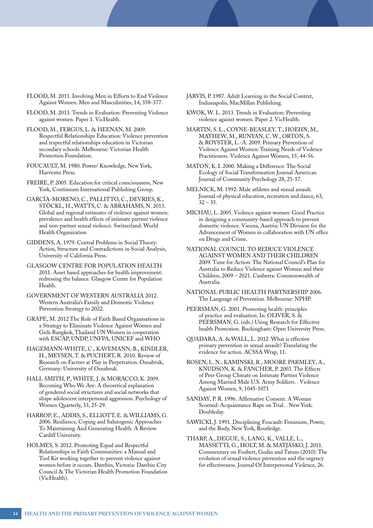- FLOOD, M. 2011. Involving Men in Efforts to End Violence Against Women. Men and Masculinities, 14, 358-377.
- FLOOD, M. 2013. Trends in Evaluation: Preventing Violence against women. Paper 1. VicHealth.
- FLOOD, M., FERGUS, L. & HEENAN, M. 2009. Respectful Relationships Education: Violence prevention and respectful relationships education in Victorian secondary schools. Melbourne: Victorian Health Promotion Foundation.
- FOUCAULT, M. 1980. Power/ Knowledge, New York, Harvester Press.
- FREIRE, P. 2005. Education for critical consciousness, New York, Continuum International Publishing Group.
- GARCÍA-MORENO, C., PALLITTO, C., DEVRIES, K., STÖCKL, H., WATTS, C. & ABRAHAMS, N. 2013. Global and regional estimates of violence against women: prevalence and health effects of intimate partner violence and non-partner sexual violence. Switzerland: World Health Organization
- GIDDENS, A. 1979. Central Problems in Social Theory: Action, Structure and Contradictions in Social Analysis, University of California Press.
- GLASGOW CENTRE FOR POPULATION HEALTH 2011. Asset based approaches for health improvement: redressing the balance. Glasgow Centre for Population Health.
- GOVERNMENT OF WESTERN AUSTRALIA 2012. Western Australia's Family and Domestic Violence Prevention Strategy to 2022.
- GRAPE, M. 2012 The Role of Faith Based Organisations in a Strategy to Eliminate Violence Against Women and Girls Bangkok, Thailand UN Women in cooperation with ESCAP, UNDP, UNFPA, UNICEF and WHO
- HAGEMANN-WHITE, C., KAVEMANN, B., KINDLER, H., MEYSEN, T. & PUCHERT, R. 2010. Review of Research on Factors at Play in Perpetration. Osnabruk, Germany: University of Osnabruk.
- HALL SMITH, P., WHITE, J. & MORACCO, K. 2009. Becoming Who We Are: A theoretical explanation of gendered social structures and social networks that shape adolescent interpersonal aggression. Psychology of Women Quarterly, 33, 25-29.
- HARROP, E., ADDIS, S., ELLIOTT, E. & WILLIAMS, G. 2006. Resilience, Coping and Salutogenic Approaches To Maintaining And Generating Health: A Review. Cardiff University.
- HOLMES, S. 2012. Promoting Equal and Respectful Relationships in Faith Communities: a Manual and Tool Kit working together to prevent violence against women before it occurs. Darebin, Victoria: Darebin City Council & The Victorian Health Promotion Foundation (VicHealth).
- JARVIS, P. 1987. Adult Learning in the Social Context, Indianapolis, MacMillan Publishing.
- KWOK, W. L. 2013. Trends in Evaluation: Preventing violence against women. Paper 2. VicHealth.
- MARTIN, S. L., COYNE-BEASLEY, T., HOEHN, M., MATHEW, M., RUNYAN, C. W., ORTON, S. & ROYSTER, L.-A. 2009. Primary Prevention of Violence Against Women: Training Needs of Violence Practitioners. Violence Against Women, 15, 44-56.
- MATON, K. I. 2000. Making a Difference: The Social Ecology of Social Transformation Journal American Journal of Community Psychology 28, 25-57.
- MELNICK, M. 1992. Male athletes and sexual assault. Journal of physical education, recreation and dance, 63,  $32 - 35.$
- MICHAU, L. 2005. Violence against women: Good Practice in designing a community-based approach to prevent domestic violence. Vienna, Austria: UN Division for the Advancement of Women in collaboration with UN office on Drugs and Crime.
- NATIONAL COUNCIL TO REDUCE VIOLENCE AGAINST WOMEN AND THEIR CHILDREN 2009. Time for Action: The National Council's Plan for Australia to Reduce Violence against Women and their Children, 2009 – 2021. Canberra: Commonwealth of Australia.
- NATIONAL PUBLIC HEALTH PARTNERSHIP 2006. The Language of Prevention. Melbourne: NPHP.
- PEERSMAN, G. 2001. Promoting health: principles of practice and evaluation. In: OLIVER, S. & PEERSMAN, G. (eds.) Using Research for Effective health Promotion. Buckingham: Open University Press.
- QUADARA, A. & WALL, L. 2012. What is effective primary prevention in sexual assault? Translating the evidence for action. ACSSA Wrap, 11.
- ROSEN, L. N., KAMINSKI, R., MOORE PARMLEY, A., KNUDSON, K. & FANCHER, P. 2003. The Effects of Peer Group Climate on Intimate Partner Violence Among Married Male U.S. Army Soldiers. . Violence Against Women, 9, 1045-1071
- SANDAY, P. R. 1996. Affirmative Consent. A Woman Scorned: Acquaintance Rape on Trial. . New York: Doubleday.
- SAWICKI, J. 1991. Disciplining Foucault: Feminism, Power, and the Body, New York, Routledge.
- THARP, A., DEGUE, S., LANG, K., VALLE, L., MASSETTI, G., HOLT, M. & MATJASKO, J. 2011. Commentary on Foubert, Godin and Tatum (2010): The evolution of sexual violence prevention and the urgency for effectiveness. Journal Of Interpersonal Violence, 26.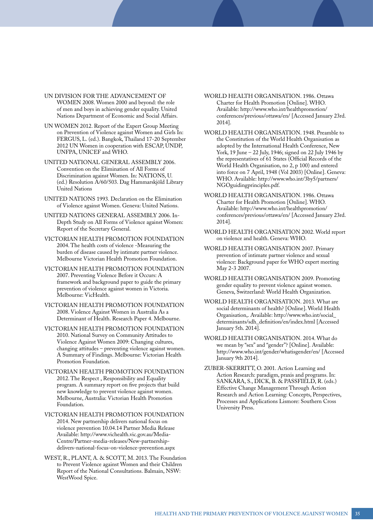- UN DIVISION FOR THE ADVANCEMENT OF WOMEN 2008. Women 2000 and beyond: the role of men and boys in achieving gender equality. United Nations Department of Economic and Social Affairs.
- UN WOMEN 2012. Report of the Expert Group Meeting on Prevention of Violence against Women and Girls In: FERGUS, L. (ed.). Bangkok, Thailand 17-20 September 2012 UN Women in cooperation with ESCAP, UNDP, UNFPA, UNICEF and WHO.
- UNITED NATIONAL GENERAL ASSEMBLY 2006. Convention on the Elimination of All Forms of Discrimination against Women. In: NATIONS, U. (ed.) Resolution A/60/503. Dag Hammarskjöld Library United Nations
- UNITED NATIONS 1993. Declaration on the Elimination of Violence against Women. Geneva: United Nations.
- UNITED NATIONS GENERAL ASSEMBLY 2006. In-Depth Study on All Forms of Violence against Women: Report of the Secretary General.
- VICTORIAN HEALTH PROMOTION FOUNDATION 2004. The health costs of violence -Measuring the burden of disease caused by intimate partner violence. Melbourne Victorian Health Promotion Foundation.
- VICTORIAN HEALTH PROMOTION FOUNDATION 2007. Preventing Violence Before it Occurs: A framework and background paper to guide the primary prevention of violence against women in Victoria. Melbourne: VicHealth.
- VICTORIAN HEALTH PROMOTION FOUNDATION 2008. Violence Against Women in Australia As a Determinant of Health. Research Paper 4. Melbourne.
- VICTORIAN HEALTH PROMOTION FOUNDATION 2010. National Survey on Community Attitudes to Violence Against Women 2009: Changing cultures, changing attitudes – preventing violence against women. A Summary of Findings. Melbourne: Victorian Health Promotion Foundation.
- VICTORIAN HEALTH PROMOTION FOUNDATION 2012. The Respect , Responsibility and Equality program. A summary report on five projects that build new knowledge to prevent violence against women. Melbourne, Australia: Victorian Health Promotion Foundation.
- VICTORIAN HEALTH PROMOTION FOUNDATION 2014. New partnership delivers national focus on violence prevention 10.04.14 Partner Media Release Available: http://www.vichealth.vic.gov.au/Media-Centre/Partner-media-releases/New-partnershipdelivers-national-focus-on-violence-prevention.aspx
- WEST, R., PLANT, A. & SCOTT, M. 2013. The Foundation to Prevent Violence against Women and their Children Report of the National Consultations. Balmain, NSW: WestWood Spice.
- WORLD HEALTH ORGANISATION. 1986. Ottawa Charter for Health Promotion [Online]. WHO. Available: http://www.who.int/healthpromotion/ conferences/previous/ottawa/en/ [Accessed January 23rd. 2014].
- WORLD HEALTH ORGANISATION. 1948. Preamble to the Constitution of the World Health Organisation as adopted by the International Health Conference, New York, 19 June – 22 July, 1946; signed on 22 July 1946 by the representatives of 61 States (Official Records of the World Health Organisation, no 2, p 100) and entered into force on 7 April, 1948 (Vol 2003) [Online]. Geneva: WHO. Available: http://www.who.int/3by5/partners/ NGOguidingprinciples.pdf.
- WORLD HEALTH ORGANISATION. 1986. Ottawa Charter for Health Promotion [Online]. WHO. Available: http://www.who.int/healthpromotion/ conferences/previous/ottawa/en/ [Accessed January 23rd. 2014].
- WORLD HEALTH ORGANISATION 2002. World report on violence and health. Geneva: WHO.
- WORLD HEALTH ORGANISATION 2007. Primary prevention of intimate partner violence and sexual violence: Background paper for WHO expert meeting May 2-3 2007.
- WORLD HEALTH ORGANISATION 2009. Promoting gender equality to prevent violence against women. Geneva, Switzerland: World Health Organization.
- WORLD HEALTH ORGANISATION. 2013. What are social determinants of health? [Online]. World Health Organisation,. Available: http://www.who.int/social\_ determinants/sdh\_definition/en/index.html [Accessed January 5th. 2014].
- WORLD HEALTH ORGANISATION. 2014. What do we mean by "sex" and "gender"? [Online]. Available: http://www.who.int/gender/whatisgender/en/ [Accessed January 9th 2014].
- ZUBER-SKERRITT, O. 2001. Action Learning and Action Research: paradigm, praxis and programs. In: SANKARA, S., DICK, B. & PASSFIELD, R. (eds.) Effective Change Management Through Action Research and Action Learning: Concepts, Perspectives, Processes and Applications Lismore: Southern Cross University Press.